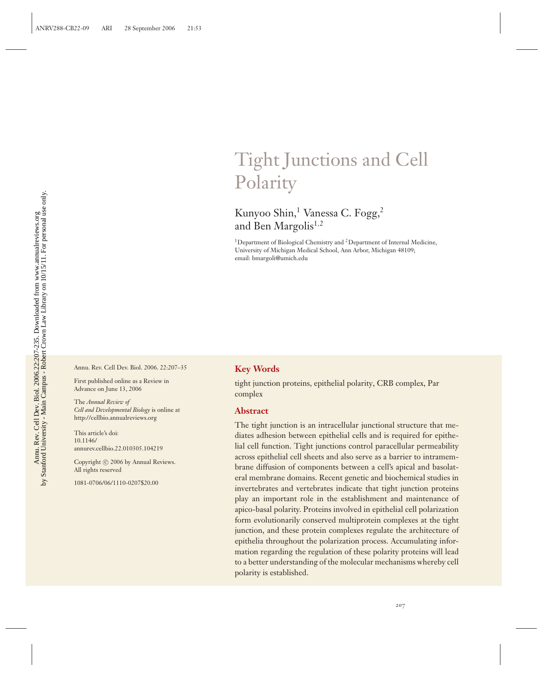# Tight Junctions and Cell Polarity

## Kunyoo Shin,<sup>1</sup> Vanessa C. Fogg,<sup>2</sup> and Ben Margolis<sup>1,2</sup>

<sup>1</sup>Department of Biological Chemistry and <sup>2</sup>Department of Internal Medicine, University of Michigan Medical School, Ann Arbor, Michigan 48109; email: bmargoli@umich.edu

Annu. Rev. Cell Dev. Biol. 2006. 22:207–35

First published online as a Review in Advance on June 13, 2006

The *Annual Review of Cell and Developmental Biology* is online at http://cellbio.annualreviews.org

This article's doi: 10.1146/ annurev.cellbio.22.010305.104219

Copyright © 2006 by Annual Reviews. All rights reserved

1081-0706/06/1110-0207\$20.00

## **Key Words**

tight junction proteins, epithelial polarity, CRB complex, Par complex

## **Abstract**

The tight junction is an intracellular junctional structure that mediates adhesion between epithelial cells and is required for epithelial cell function. Tight junctions control paracellular permeability across epithelial cell sheets and also serve as a barrier to intramembrane diffusion of components between a cell's apical and basolateral membrane domains. Recent genetic and biochemical studies in invertebrates and vertebrates indicate that tight junction proteins play an important role in the establishment and maintenance of apico-basal polarity. Proteins involved in epithelial cell polarization form evolutionarily conserved multiprotein complexes at the tight junction, and these protein complexes regulate the architecture of epithelia throughout the polarization process. Accumulating information regarding the regulation of these polarity proteins will lead to a better understanding of the molecular mechanisms whereby cell polarity is established.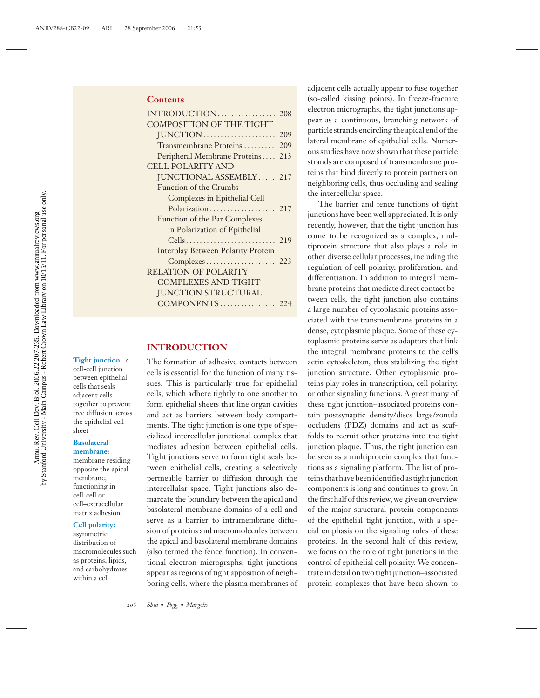## **Contents**

| INTRODUCTION 208                          |     |
|-------------------------------------------|-----|
| <b>COMPOSITION OF THE TIGHT</b>           |     |
| JUNCTION                                  | 209 |
| Transmembrane Proteins                    | 209 |
| Peripheral Membrane Proteins              | 213 |
| <b>CELL POLARITY AND</b>                  |     |
| <b>JUNCTIONAL ASSEMBLY 217</b>            |     |
| <b>Function of the Crumbs</b>             |     |
| Complexes in Epithelial Cell              |     |
|                                           |     |
| Function of the Par Complexes             |     |
| in Polarization of Epithelial             |     |
|                                           |     |
| <b>Interplay Between Polarity Protein</b> |     |
|                                           |     |
| <b>RELATION OF POLARITY</b>               |     |
| <b>COMPLEXES AND TIGHT</b>                |     |
| <b>JUNCTION STRUCTURAL</b>                |     |
| COMPONENTS 224                            |     |
|                                           |     |

## **INTRODUCTION**

The formation of adhesive contacts between cells is essential for the function of many tissues. This is particularly true for epithelial cells, which adhere tightly to one another to form epithelial sheets that line organ cavities and act as barriers between body compartments. The tight junction is one type of specialized intercellular junctional complex that mediates adhesion between epithelial cells. Tight junctions serve to form tight seals between epithelial cells, creating a selectively permeable barrier to diffusion through the intercellular space. Tight junctions also demarcate the boundary between the apical and basolateral membrane domains of a cell and serve as a barrier to intramembrane diffusion of proteins and macromolecules between the apical and basolateral membrane domains (also termed the fence function). In conventional electron micrographs, tight junctions appear as regions of tight apposition of neighboring cells, where the plasma membranes of

adjacent cells actually appear to fuse together (so-called kissing points). In freeze-fracture electron micrographs, the tight junctions appear as a continuous, branching network of particle strands encircling the apical end of the lateral membrane of epithelial cells. Numerous studies have now shown that these particle strands are composed of transmembrane proteins that bind directly to protein partners on neighboring cells, thus occluding and sealing the intercellular space.

The barrier and fence functions of tight junctions have been well appreciated. It is only recently, however, that the tight junction has come to be recognized as a complex, multiprotein structure that also plays a role in other diverse cellular processes, including the regulation of cell polarity, proliferation, and differentiation. In addition to integral membrane proteins that mediate direct contact between cells, the tight junction also contains a large number of cytoplasmic proteins associated with the transmembrane proteins in a dense, cytoplasmic plaque. Some of these cytoplasmic proteins serve as adaptors that link the integral membrane proteins to the cell's actin cytoskeleton, thus stabilizing the tight junction structure. Other cytoplasmic proteins play roles in transcription, cell polarity, or other signaling functions. A great many of these tight junction–associated proteins contain postsynaptic density/discs large/zonula occludens (PDZ) domains and act as scaffolds to recruit other proteins into the tight junction plaque. Thus, the tight junction can be seen as a multiprotein complex that functions as a signaling platform. The list of proteins that have been identified as tight junction components is long and continues to grow. In the first half of this review, we give an overview of the major structural protein components of the epithelial tight junction, with a special emphasis on the signaling roles of these proteins. In the second half of this review, we focus on the role of tight junctions in the control of epithelial cell polarity. We concentrate in detail on two tight junction–associated protein complexes that have been shown to

**Tight junction:** a cell-cell junction between epithelial cells that seals adjacent cells together to prevent free diffusion across the epithelial cell sheet

#### **Basolateral membrane:**

membrane residing opposite the apical membrane, functioning in cell-cell or cell–extracellular matrix adhesion

#### **Cell polarity:**

asymmetric distribution of macromolecules such as proteins, lipids, and carbohydrates within a cell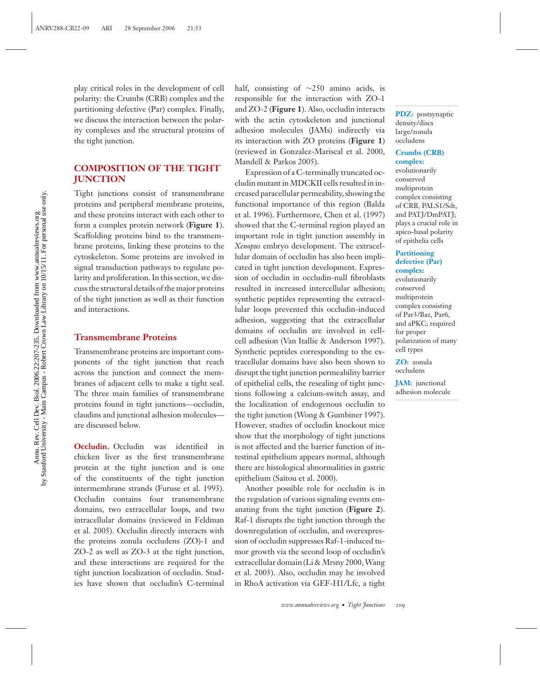play critical roles in the development of cell polarity: the Crumbs (CRB) complex and the partitioning defective (Par) complex. Finally, we discuss the interaction between the polarity complexes and the structural proteins of the tight junction.

## **COMPOSITION OF THE TIGHT JUNCTION**

Tight junctions consist of transmembrane proteins and peripheral membrane proteins, and these proteins interact with each other to form a complex protein network (**Figure 1**). Scaffolding proteins bind to the transmembrane proteins, linking these proteins to the cytoskeleton. Some proteins are involved in signal transduction pathways to regulate polarity and proliferation. In this section, we discuss the structural details of the major proteins of the tight junction as well as their function and interactions.

## **Transmembrane Proteins**

Transmembrane proteins are important components of the tight junction that reach across the junction and connect the membranes of adjacent cells to make a tight seal. The three main families of transmembrane proteins found in tight junctions—occludin, claudins and junctional adhesion molecules are discussed below.

**Occludin.** Occludin was identified in chicken liver as the first transmembrane protein at the tight junction and is one of the constituents of the tight junction intermembrane strands (Furuse et al. 1993). Occludin contains four transmembrane domains, two extracellular loops, and two intracellular domains (reviewed in Feldman et al. 2005). Occludin directly interacts with the proteins zonula occludens (ZO)-1 and ZO-2 as well as ZO-3 at the tight junction, and these interactions are required for the tight junction localization of occludin. Studies have shown that occludin's C-terminal

half, consisting of ∼250 amino acids, is responsible for the interaction with ZO-1 and ZO-2 (**Figure 1**). Also, occludin interacts with the actin cytoskeleton and junctional adhesion molecules (JAMs) indirectly via its interaction with ZO proteins (**Figure 1**) (reviewed in Gonzalez-Mariscal et al. 2000, Mandell & Parkos 2005).

Expression of a C-terminally truncated occludin mutant in MDCKII cells resulted in increased paracellular permeability, showing the functional importance of this region (Balda et al. 1996). Furthermore, Chen et al. (1997) showed that the C-terminal region played an important role in tight junction assembly in *Xenopus* embryo development. The extracellular domain of occludin has also been implicated in tight junction development. Expression of occludin in occludin-null fibroblasts resulted in increased intercellular adhesion; synthetic peptides representing the extracellular loops prevented this occludin-induced adhesion, suggesting that the extracellular domains of occludin are involved in cellcell adhesion (Van Itallie & Anderson 1997). Synthetic peptides corresponding to the extracellular domains have also been shown to disrupt the tight junction permeability barrier of epithelial cells, the resealing of tight junctions following a calcium-switch assay, and the localization of endogenous occludin to the tight junction (Wong & Gumbiner 1997). However, studies of occludin knockout mice show that the morphology of tight junctions is not affected and the barrier function of intestinal epithelium appears normal, although there are histological abnormalities in gastric epithelium (Saitou et al. 2000).

Another possible role for occludin is in the regulation of various signaling events emanating from the tight junction (**Figure 2**). Raf-1 disrupts the tight junction through the downregulation of occludin, and overexpression of occludin suppresses Raf-1-induced tumor growth via the second loop of occludin's extracellular domain (Li & Mrsny 2000, Wang et al. 2005). Also, occludin may be involved in RhoA activation via GEF-H1/Lfc, a tight

**PDZ:** postsynaptic density/discs large/zonula occludens

#### **Crumbs (CRB) complex:**

evolutionarily conserved multiprotein complex consisting of CRB, PALS1/Sdt, and PATJ/DmPATJ; plays a crucial role in apico-basal polarity of epithelia cells

#### **Partitioning defective (Par) complex:**

evolutionarily conserved multiprotein complex consisting of Par3/Baz, Par6, and aPKC; required for proper polarization of many cell types

**ZO:** zonula occludens

**JAM:** junctional adhesion molecule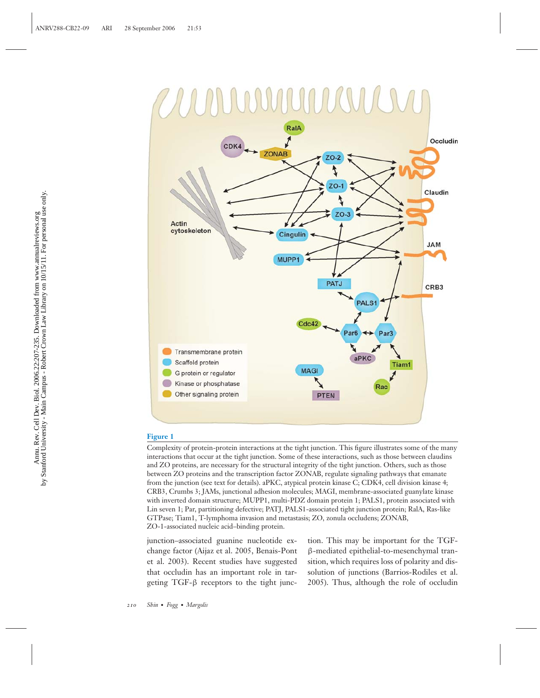

#### **Figure 1**

Complexity of protein-protein interactions at the tight junction. This figure illustrates some of the many interactions that occur at the tight junction. Some of these interactions, such as those between claudins and ZO proteins, are necessary for the structural integrity of the tight junction. Others, such as those between ZO proteins and the transcription factor ZONAB, regulate signaling pathways that emanate from the junction (see text for details). aPKC, atypical protein kinase C; CDK4, cell division kinase 4; CRB3, Crumbs 3; JAMs, junctional adhesion molecules; MAGI, membrane-associated guanylate kinase with inverted domain structure; MUPP1, multi-PDZ domain protein 1; PALS1, protein associated with Lin seven 1; Par, partitioning defective; PATJ, PALS1-associated tight junction protein; RalA, Ras-like GTPase; Tiam1, T-lymphoma invasion and metastasis; ZO, zonula occludens; ZONAB, ZO-1-associated nucleic acid–binding protein.

junction–associated guanine nucleotide exchange factor (Aijaz et al. 2005, Benais-Pont et al. 2003). Recent studies have suggested that occludin has an important role in targeting TGF-β receptors to the tight junction. This may be important for the TGFβ-mediated epithelial-to-mesenchymal transition, which requires loss of polarity and dissolution of junctions (Barrios-Rodiles et al. 2005). Thus, although the role of occludin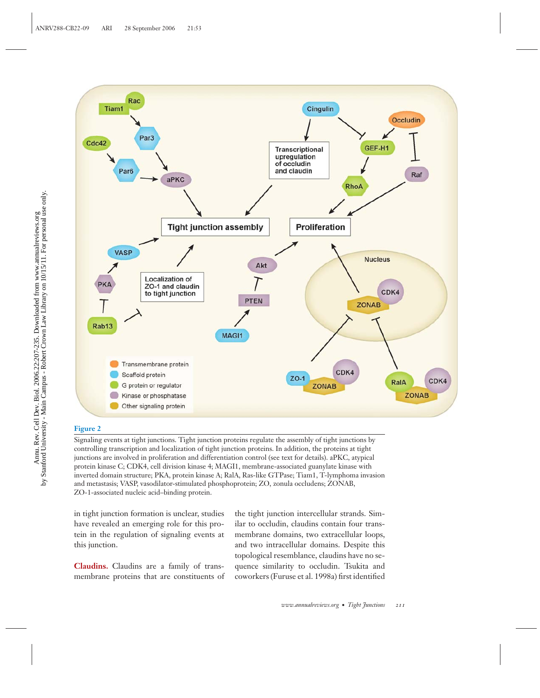

## **Figure 2**

Signaling events at tight junctions. Tight junction proteins regulate the assembly of tight junctions by controlling transcription and localization of tight junction proteins. In addition, the proteins at tight junctions are involved in proliferation and differentiation control (see text for details). aPKC, atypical protein kinase C; CDK4, cell division kinase 4; MAGI1, membrane-associated guanylate kinase with inverted domain structure; PKA, protein kinase A; RalA, Ras-like GTPase; Tiam1, T-lymphoma invasion and metastasis; VASP, vasodilator-stimulated phosphoprotein; ZO, zonula occludens; ZONAB, ZO-1-associated nucleic acid–binding protein.

in tight junction formation is unclear, studies have revealed an emerging role for this protein in the regulation of signaling events at this junction.

**Claudins.** Claudins are a family of transmembrane proteins that are constituents of

the tight junction intercellular strands. Similar to occludin, claudins contain four transmembrane domains, two extracellular loops, and two intracellular domains. Despite this topological resemblance, claudins have no sequence similarity to occludin. Tsukita and coworkers (Furuse et al. 1998a) first identified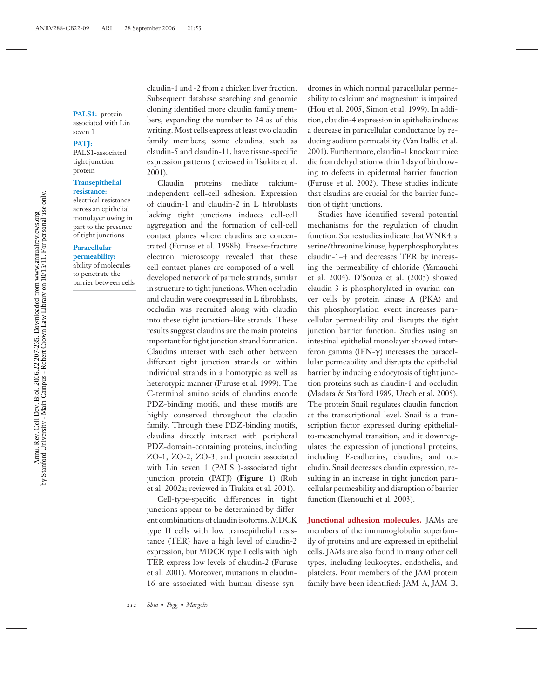**PALS1:** protein

associated with Lin seven 1

#### **PATJ:**

PALS1-associated tight junction protein

#### **Transepithelial resistance:**

electrical resistance across an epithelial monolayer owing in part to the presence of tight junctions

#### **Paracellular permeability:**

ability of molecules to penetrate the barrier between cells claudin-1 and -2 from a chicken liver fraction. Subsequent database searching and genomic cloning identified more claudin family members, expanding the number to 24 as of this writing. Most cells express at least two claudin family members; some claudins, such as claudin-5 and claudin-11, have tissue-specific expression patterns (reviewed in Tsukita et al. 2001).

Claudin proteins mediate calciumindependent cell-cell adhesion. Expression of claudin-1 and claudin-2 in L fibroblasts lacking tight junctions induces cell-cell aggregation and the formation of cell-cell contact planes where claudins are concentrated (Furuse et al. 1998b). Freeze-fracture electron microscopy revealed that these cell contact planes are composed of a welldeveloped network of particle strands, similar in structure to tight junctions. When occludin and claudin were coexpressed in L fibroblasts, occludin was recruited along with claudin into these tight junction–like strands. These results suggest claudins are the main proteins important for tight junction strand formation. Claudins interact with each other between different tight junction strands or within individual strands in a homotypic as well as heterotypic manner (Furuse et al. 1999). The C-terminal amino acids of claudins encode PDZ-binding motifs, and these motifs are highly conserved throughout the claudin family. Through these PDZ-binding motifs, claudins directly interact with peripheral PDZ-domain-containing proteins, including ZO-1, ZO-2, ZO-3, and protein associated with Lin seven 1 (PALS1)-associated tight junction protein (PATJ) (**Figure 1**) (Roh et al. 2002a; reviewed in Tsukita et al. 2001).

Cell-type-specific differences in tight junctions appear to be determined by different combinations of claudin isoforms. MDCK type II cells with low transepithelial resistance (TER) have a high level of claudin-2 expression, but MDCK type I cells with high TER express low levels of claudin-2 (Furuse et al. 2001). Moreover, mutations in claudin-16 are associated with human disease syn-

dromes in which normal paracellular permeability to calcium and magnesium is impaired (Hou et al. 2005, Simon et al. 1999). In addition, claudin-4 expression in epithelia induces a decrease in paracellular conductance by reducing sodium permeability (Van Itallie et al. 2001). Furthermore, claudin-1 knockout mice die from dehydration within 1 day of birth owing to defects in epidermal barrier function (Furuse et al. 2002). These studies indicate that claudins are crucial for the barrier function of tight junctions.

Studies have identified several potential mechanisms for the regulation of claudin function. Some studies indicate that WNK4, a serine/threonine kinase, hyperphosphorylates claudin-1–4 and decreases TER by increasing the permeability of chloride (Yamauchi et al. 2004). D'Souza et al. (2005) showed claudin-3 is phosphorylated in ovarian cancer cells by protein kinase A (PKA) and this phosphorylation event increases paracellular permeability and disrupts the tight junction barrier function. Studies using an intestinal epithelial monolayer showed interferon gamma (IFN- $\gamma$ ) increases the paracellular permeability and disrupts the epithelial barrier by inducing endocytosis of tight junction proteins such as claudin-1 and occludin (Madara & Stafford 1989, Utech et al. 2005). The protein Snail regulates claudin function at the transcriptional level. Snail is a transcription factor expressed during epithelialto-mesenchymal transition, and it downregulates the expression of junctional proteins, including E-cadherins, claudins, and occludin. Snail decreases claudin expression, resulting in an increase in tight junction paracellular permeability and disruption of barrier function (Ikenouchi et al. 2003).

**Junctional adhesion molecules.** JAMs are members of the immunoglobulin superfamily of proteins and are expressed in epithelial cells. JAMs are also found in many other cell types, including leukocytes, endothelia, and platelets. Four members of the JAM protein family have been identified: JAM-A, JAM-B,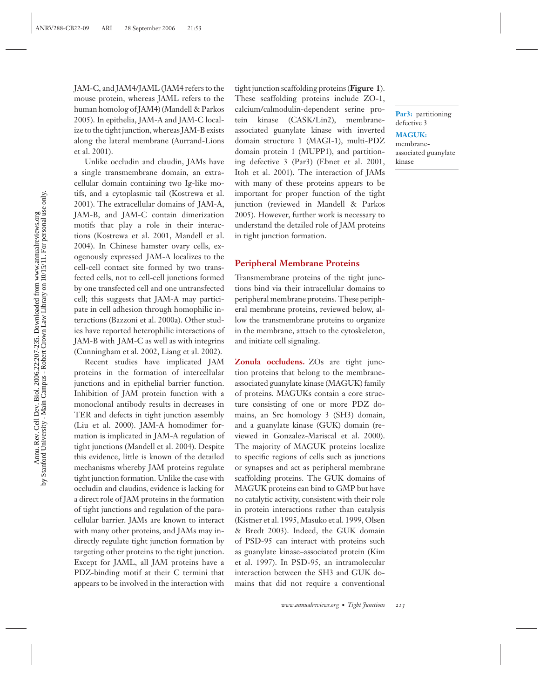JAM-C, and JAM4/JAML (JAM4 refers to the mouse protein, whereas JAML refers to the human homolog of JAM4) (Mandell & Parkos 2005). In epithelia, JAM-A and JAM-C localize to the tight junction, whereas JAM-B exists along the lateral membrane (Aurrand-Lions et al. 2001).

Unlike occludin and claudin, JAMs have a single transmembrane domain, an extracellular domain containing two Ig-like motifs, and a cytoplasmic tail (Kostrewa et al. 2001). The extracellular domains of JAM-A, JAM-B, and JAM-C contain dimerization motifs that play a role in their interactions (Kostrewa et al. 2001, Mandell et al. 2004). In Chinese hamster ovary cells, exogenously expressed JAM-A localizes to the cell-cell contact site formed by two transfected cells, not to cell-cell junctions formed by one transfected cell and one untransfected cell; this suggests that JAM-A may participate in cell adhesion through homophilic interactions (Bazzoni et al. 2000a). Other studies have reported heterophilic interactions of JAM-B with JAM-C as well as with integrins (Cunningham et al. 2002, Liang et al. 2002).

Recent studies have implicated JAM proteins in the formation of intercellular junctions and in epithelial barrier function. Inhibition of JAM protein function with a monoclonal antibody results in decreases in TER and defects in tight junction assembly (Liu et al. 2000). JAM-A homodimer formation is implicated in JAM-A regulation of tight junctions (Mandell et al. 2004). Despite this evidence, little is known of the detailed mechanisms whereby JAM proteins regulate tight junction formation. Unlike the case with occludin and claudins, evidence is lacking for a direct role of JAM proteins in the formation of tight junctions and regulation of the paracellular barrier. JAMs are known to interact with many other proteins, and JAMs may indirectly regulate tight junction formation by targeting other proteins to the tight junction. Except for JAML, all JAM proteins have a PDZ-binding motif at their C termini that appears to be involved in the interaction with

tight junction scaffolding proteins (**Figure 1**). These scaffolding proteins include ZO-1, calcium/calmodulin-dependent serine protein kinase (CASK/Lin2), membraneassociated guanylate kinase with inverted domain structure 1 (MAGI-1), multi-PDZ domain protein 1 (MUPP1), and partitioning defective 3 (Par3) (Ebnet et al. 2001, Itoh et al. 2001). The interaction of JAMs with many of these proteins appears to be important for proper function of the tight junction (reviewed in Mandell & Parkos 2005). However, further work is necessary to understand the detailed role of JAM proteins in tight junction formation.

## **Peripheral Membrane Proteins**

Transmembrane proteins of the tight junctions bind via their intracellular domains to peripheral membrane proteins. These peripheral membrane proteins, reviewed below, allow the transmembrane proteins to organize in the membrane, attach to the cytoskeleton, and initiate cell signaling.

**Zonula occludens.** ZOs are tight junction proteins that belong to the membraneassociated guanylate kinase (MAGUK) family of proteins. MAGUKs contain a core structure consisting of one or more PDZ domains, an Src homology 3 (SH3) domain, and a guanylate kinase (GUK) domain (reviewed in Gonzalez-Mariscal et al. 2000). The majority of MAGUK proteins localize to specific regions of cells such as junctions or synapses and act as peripheral membrane scaffolding proteins. The GUK domains of MAGUK proteins can bind to GMP but have no catalytic activity, consistent with their role in protein interactions rather than catalysis (Kistner et al. 1995, Masuko et al. 1999, Olsen & Bredt 2003). Indeed, the GUK domain of PSD-95 can interact with proteins such as guanylate kinase–associated protein (Kim et al. 1997). In PSD-95, an intramolecular interaction between the SH3 and GUK domains that did not require a conventional

**Par3:** partitioning defective 3

#### **MAGUK:** membraneassociated guanylate kinase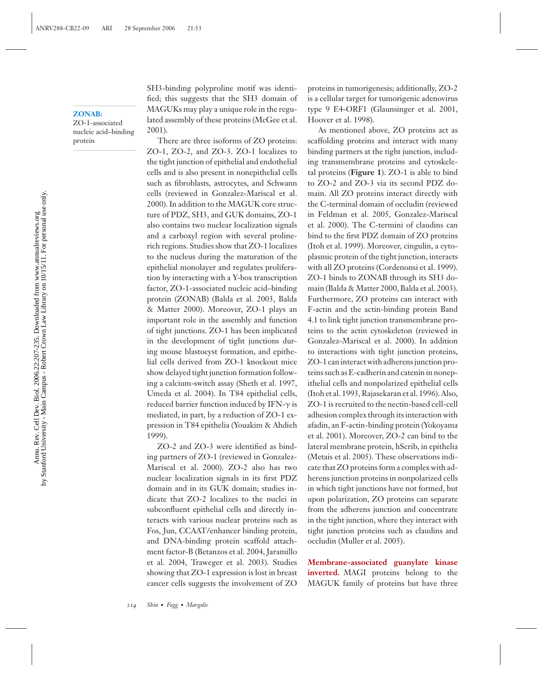#### **ZONAB:**

ZO-1-associated nucleic acid–binding protein

SH3-binding polyproline motif was identified; this suggests that the SH3 domain of MAGUKs may play a unique role in the regulated assembly of these proteins (McGee et al. 2001).

There are three isoforms of ZO proteins: ZO-1, ZO-2, and ZO-3. ZO-1 localizes to the tight junction of epithelial and endothelial cells and is also present in nonepithelial cells such as fibroblasts, astrocytes, and Schwann cells (reviewed in Gonzalez-Mariscal et al. 2000). In addition to the MAGUK core structure of PDZ, SH3, and GUK domains, ZO-1 also contains two nuclear localization signals and a carboxyl region with several prolinerich regions. Studies show that ZO-1 localizes to the nucleus during the maturation of the epithelial monolayer and regulates proliferation by interacting with a Y-box transcription factor, ZO-1-associated nucleic acid–binding protein (ZONAB) (Balda et al. 2003, Balda & Matter 2000). Moreover, ZO-1 plays an important role in the assembly and function of tight junctions. ZO-1 has been implicated in the development of tight junctions during mouse blastocyst formation, and epithelial cells derived from ZO-1 knockout mice show delayed tight junction formation following a calcium-switch assay (Sheth et al. 1997, Umeda et al. 2004). In T84 epithelial cells, reduced barrier function induced by IFN- $\gamma$  is mediated, in part, by a reduction of ZO-1 expression in T84 epithelia (Youakim & Ahdieh 1999).

ZO-2 and ZO-3 were identified as binding partners of ZO-1 (reviewed in Gonzalez-Mariscal et al. 2000). ZO-2 also has two nuclear localization signals in its first PDZ domain and in its GUK domain; studies indicate that ZO-2 localizes to the nuclei in subconfluent epithelial cells and directly interacts with various nuclear proteins such as Fos, Jun, CCAAT/enhancer binding protein, and DNA-binding protein scaffold attachment factor-B (Betanzos et al. 2004, Jaramillo et al. 2004, Traweger et al. 2003). Studies showing that ZO-1 expression is lost in breast cancer cells suggests the involvement of ZO

proteins in tumorigenesis; additionally, ZO-2 is a cellular target for tumorigenic adenovirus type 9 E4-ORF1 (Glaunsinger et al. 2001, Hoover et al. 1998).

As mentioned above, ZO proteins act as scaffolding proteins and interact with many binding partners at the tight junction, including transmembrane proteins and cytoskeletal proteins (**Figure 1**). ZO-1 is able to bind to ZO-2 and ZO-3 via its second PDZ domain. All ZO proteins interact directly with the C-terminal domain of occludin (reviewed in Feldman et al. 2005, Gonzalez-Mariscal et al. 2000). The C-termini of claudins can bind to the first PDZ domain of ZO proteins (Itoh et al. 1999). Moreover, cingulin, a cytoplasmic protein of the tight junction, interacts with all ZO proteins (Cordenonsi et al. 1999). ZO-1 binds to ZONAB through its SH3 domain (Balda & Matter 2000, Balda et al. 2003). Furthermore, ZO proteins can interact with F-actin and the actin-binding protein Band 4.1 to link tight junction transmembrane proteins to the actin cytoskeleton (reviewed in Gonzalez-Mariscal et al. 2000). In addition to interactions with tight junction proteins, ZO-1 can interact with adherens junction proteins such as E-cadherin and catenin in nonepithelial cells and nonpolarized epithelial cells (Itoh et al. 1993, Rajasekaran et al. 1996). Also, ZO-1 is recruited to the nectin-based cell-cell adhesion complex through its interaction with afadin, an F-actin-binding protein (Yokoyama et al. 2001). Moreover, ZO-2 can bind to the lateral membrane protein, hScrib, in epithelia (Metais et al. 2005). These observations indicate that ZO proteins form a complex with adherens junction proteins in nonpolarized cells in which tight junctions have not formed, but upon polarization, ZO proteins can separate from the adherens junction and concentrate in the tight junction, where they interact with tight junction proteins such as claudins and occludin (Muller et al. 2005).

**Membrane-associated guanylate kinase inverted.** MAGI proteins belong to the MAGUK family of proteins but have three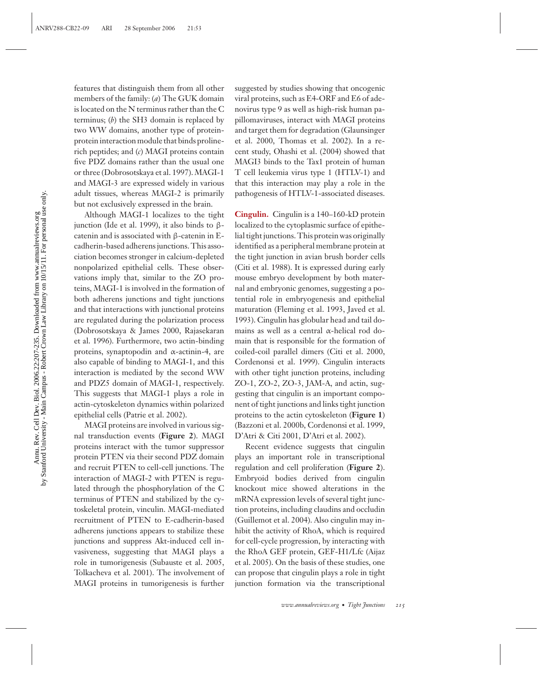features that distinguish them from all other members of the family: (*a*) The GUK domain is located on the N terminus rather than the C terminus; (*b*) the SH3 domain is replaced by two WW domains, another type of proteinprotein interaction module that binds prolinerich peptides; and (*c*) MAGI proteins contain five PDZ domains rather than the usual one or three (Dobrosotskaya et al. 1997). MAGI-1 and MAGI-3 are expressed widely in various adult tissues, whereas MAGI-2 is primarily but not exclusively expressed in the brain.

Although MAGI-1 localizes to the tight junction (Ide et al. 1999), it also binds to βcatenin and is associated with β-catenin in Ecadherin-based adherens junctions. This association becomes stronger in calcium-depleted nonpolarized epithelial cells. These observations imply that, similar to the ZO proteins, MAGI-1 is involved in the formation of both adherens junctions and tight junctions and that interactions with junctional proteins are regulated during the polarization process (Dobrosotskaya & James 2000, Rajasekaran et al. 1996). Furthermore, two actin-binding proteins, synaptopodin and  $\alpha$ -actinin-4, are also capable of binding to MAGI-1, and this interaction is mediated by the second WW and PDZ5 domain of MAGI-1, respectively. This suggests that MAGI-1 plays a role in actin-cytoskeleton dynamics within polarized epithelial cells (Patrie et al. 2002).

MAGI proteins are involved in various signal transduction events (**Figure 2**). MAGI proteins interact with the tumor suppressor protein PTEN via their second PDZ domain and recruit PTEN to cell-cell junctions. The interaction of MAGI-2 with PTEN is regulated through the phosphorylation of the C terminus of PTEN and stabilized by the cytoskeletal protein, vinculin. MAGI-mediated recruitment of PTEN to E-cadherin-based adherens junctions appears to stabilize these junctions and suppress Akt-induced cell invasiveness, suggesting that MAGI plays a role in tumorigenesis (Subauste et al. 2005, Tolkacheva et al. 2001). The involvement of MAGI proteins in tumorigenesis is further

suggested by studies showing that oncogenic viral proteins, such as E4-ORF and E6 of adenovirus type 9 as well as high-risk human papillomaviruses, interact with MAGI proteins and target them for degradation (Glaunsinger et al. 2000, Thomas et al. 2002). In a recent study, Ohashi et al. (2004) showed that MAGI3 binds to the Tax1 protein of human T cell leukemia virus type 1 (HTLV-1) and that this interaction may play a role in the pathogenesis of HTLV-1-associated diseases.

**Cingulin.** Cingulin is a 140–160-kD protein localized to the cytoplasmic surface of epithelial tight junctions. This protein was originally identified as a peripheral membrane protein at the tight junction in avian brush border cells (Citi et al. 1988). It is expressed during early mouse embryo development by both maternal and embryonic genomes, suggesting a potential role in embryogenesis and epithelial maturation (Fleming et al. 1993, Javed et al. 1993). Cingulin has globular head and tail domains as well as a central α-helical rod domain that is responsible for the formation of coiled-coil parallel dimers (Citi et al. 2000, Cordenonsi et al. 1999). Cingulin interacts with other tight junction proteins, including ZO-1, ZO-2, ZO-3, JAM-A, and actin, suggesting that cingulin is an important component of tight junctions and links tight junction proteins to the actin cytoskeleton (**Figure 1**) (Bazzoni et al. 2000b, Cordenonsi et al. 1999, D'Atri & Citi 2001, D'Atri et al. 2002).

Recent evidence suggests that cingulin plays an important role in transcriptional regulation and cell proliferation (**Figure 2**). Embryoid bodies derived from cingulin knockout mice showed alterations in the mRNA expression levels of several tight junction proteins, including claudins and occludin (Guillemot et al. 2004). Also cingulin may inhibit the activity of RhoA, which is required for cell-cycle progression, by interacting with the RhoA GEF protein, GEF-H1/Lfc (Aijaz et al. 2005). On the basis of these studies, one can propose that cingulin plays a role in tight junction formation via the transcriptional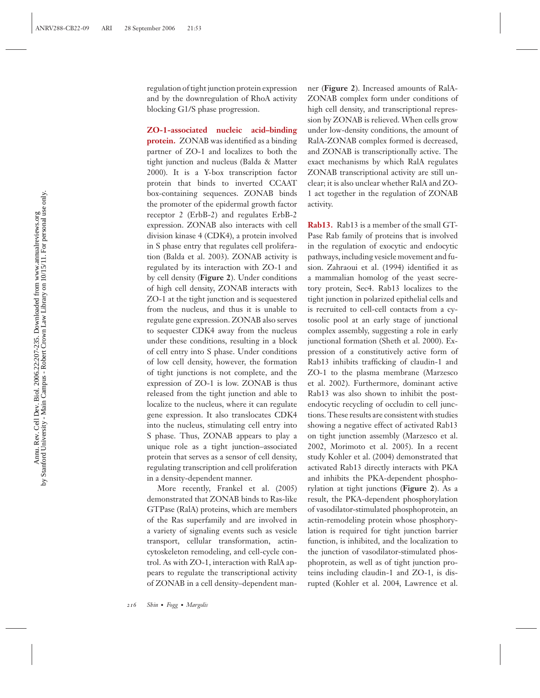regulation of tight junction protein expression and by the downregulation of RhoA activity blocking G1/S phase progression.

**ZO-1-associated nucleic acid–binding protein.** ZONAB was identified as a binding partner of ZO-1 and localizes to both the tight junction and nucleus (Balda & Matter 2000). It is a Y-box transcription factor protein that binds to inverted CCAAT box-containing sequences. ZONAB binds the promoter of the epidermal growth factor receptor 2 (ErbB-2) and regulates ErbB-2 expression. ZONAB also interacts with cell division kinase 4 (CDK4), a protein involved in S phase entry that regulates cell proliferation (Balda et al. 2003). ZONAB activity is regulated by its interaction with ZO-1 and by cell density (**Figure 2**). Under conditions of high cell density, ZONAB interacts with ZO-1 at the tight junction and is sequestered from the nucleus, and thus it is unable to regulate gene expression. ZONAB also serves to sequester CDK4 away from the nucleus under these conditions, resulting in a block of cell entry into S phase. Under conditions of low cell density, however, the formation of tight junctions is not complete, and the expression of ZO-1 is low. ZONAB is thus released from the tight junction and able to localize to the nucleus, where it can regulate gene expression. It also translocates CDK4 into the nucleus, stimulating cell entry into S phase. Thus, ZONAB appears to play a unique role as a tight junction–associated protein that serves as a sensor of cell density, regulating transcription and cell proliferation in a density-dependent manner.

More recently, Frankel et al. (2005) demonstrated that ZONAB binds to Ras-like GTPase (RalA) proteins, which are members of the Ras superfamily and are involved in a variety of signaling events such as vesicle transport, cellular transformation, actincytoskeleton remodeling, and cell-cycle control. As with ZO-1, interaction with RalA appears to regulate the transcriptional activity of ZONAB in a cell density–dependent man-

ner (**Figure 2**). Increased amounts of RalA-ZONAB complex form under conditions of high cell density, and transcriptional repression by ZONAB is relieved. When cells grow under low-density conditions, the amount of RalA-ZONAB complex formed is decreased, and ZONAB is transcriptionally active. The exact mechanisms by which RalA regulates ZONAB transcriptional activity are still unclear; it is also unclear whether RalA and ZO-1 act together in the regulation of ZONAB activity.

**Rab13.** Rab13 is a member of the small GT-Pase Rab family of proteins that is involved in the regulation of exocytic and endocytic pathways, including vesicle movement and fusion. Zahraoui et al. (1994) identified it as a mammalian homolog of the yeast secretory protein, Sec4. Rab13 localizes to the tight junction in polarized epithelial cells and is recruited to cell-cell contacts from a cytosolic pool at an early stage of junctional complex assembly, suggesting a role in early junctional formation (Sheth et al. 2000). Expression of a constitutively active form of Rab13 inhibits trafficking of claudin-1 and ZO-1 to the plasma membrane (Marzesco et al. 2002). Furthermore, dominant active Rab13 was also shown to inhibit the postendocytic recycling of occludin to cell junctions. These results are consistent with studies showing a negative effect of activated Rab13 on tight junction assembly (Marzesco et al. 2002, Morimoto et al. 2005). In a recent study Kohler et al. (2004) demonstrated that activated Rab13 directly interacts with PKA and inhibits the PKA-dependent phosphorylation at tight junctions (**Figure 2**). As a result, the PKA-dependent phosphorylation of vasodilator-stimulated phosphoprotein, an actin-remodeling protein whose phosphorylation is required for tight junction barrier function, is inhibited, and the localization to the junction of vasodilator-stimulated phosphoprotein, as well as of tight junction proteins including claudin-1 and ZO-1, is disrupted (Kohler et al. 2004, Lawrence et al.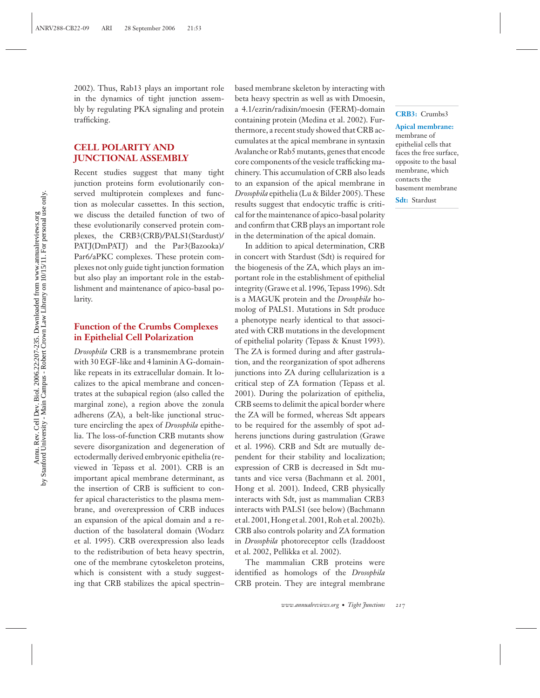2002). Thus, Rab13 plays an important role in the dynamics of tight junction assembly by regulating PKA signaling and protein trafficking.

## **CELL POLARITY AND JUNCTIONAL ASSEMBLY**

Recent studies suggest that many tight junction proteins form evolutionarily conserved multiprotein complexes and function as molecular cassettes. In this section, we discuss the detailed function of two of these evolutionarily conserved protein complexes, the CRB3(CRB)/PALS1(Stardust)/ PATJ(DmPATJ) and the Par3(Bazooka)/ Par6/aPKC complexes. These protein complexes not only guide tight junction formation but also play an important role in the establishment and maintenance of apico-basal polarity.

## **Function of the Crumbs Complexes in Epithelial Cell Polarization**

*Drosophila* CRB is a transmembrane protein with 30 EGF-like and 4 laminin A G-domainlike repeats in its extracellular domain. It localizes to the apical membrane and concentrates at the subapical region (also called the marginal zone), a region above the zonula adherens (ZA), a belt-like junctional structure encircling the apex of *Drosophila* epithelia. The loss-of-function CRB mutants show severe disorganization and degeneration of ectodermally derived embryonic epithelia (reviewed in Tepass et al. 2001). CRB is an important apical membrane determinant, as the insertion of CRB is sufficient to confer apical characteristics to the plasma membrane, and overexpression of CRB induces an expansion of the apical domain and a reduction of the basolateral domain (Wodarz et al. 1995). CRB overexpression also leads to the redistribution of beta heavy spectrin, one of the membrane cytoskeleton proteins, which is consistent with a study suggesting that CRB stabilizes the apical spectrin–

based membrane skeleton by interacting with beta heavy spectrin as well as with Dmoesin, a 4.1/ezrin/radixin/moesin (FERM)-domain containing protein (Medina et al. 2002). Furthermore, a recent study showed that CRB accumulates at the apical membrane in syntaxin Avalanche or Rab5 mutants, genes that encode core components of the vesicle trafficking machinery. This accumulation of CRB also leads to an expansion of the apical membrane in *Drosophila* epithelia (Lu & Bilder 2005). These results suggest that endocytic traffic is critical for the maintenance of apico-basal polarity and confirm that CRB plays an important role in the determination of the apical domain.

In addition to apical determination, CRB in concert with Stardust (Sdt) is required for the biogenesis of the ZA, which plays an important role in the establishment of epithelial integrity (Grawe et al. 1996, Tepass 1996). Sdt is a MAGUK protein and the *Drosophila* homolog of PALS1. Mutations in Sdt produce a phenotype nearly identical to that associated with CRB mutations in the development of epithelial polarity (Tepass & Knust 1993). The ZA is formed during and after gastrulation, and the reorganization of spot adherens junctions into ZA during cellularization is a critical step of ZA formation (Tepass et al. 2001). During the polarization of epithelia, CRB seems to delimit the apical border where the ZA will be formed, whereas Sdt appears to be required for the assembly of spot adherens junctions during gastrulation (Grawe et al. 1996). CRB and Sdt are mutually dependent for their stability and localization; expression of CRB is decreased in Sdt mutants and vice versa (Bachmann et al. 2001, Hong et al. 2001). Indeed, CRB physically interacts with Sdt, just as mammalian CRB3 interacts with PALS1 (see below) (Bachmann et al. 2001, Hong et al. 2001, Roh et al. 2002b). CRB also controls polarity and ZA formation in *Drosophila* photoreceptor cells (Izaddoost et al. 2002, Pellikka et al. 2002).

The mammalian CRB proteins were identified as homologs of the *Drosophila* CRB protein. They are integral membrane

## **CRB3:** Crumbs3

**Apical membrane:** membrane of epithelial cells that faces the free surface, opposite to the basal membrane, which contacts the basement membrane

**Sdt:** Stardust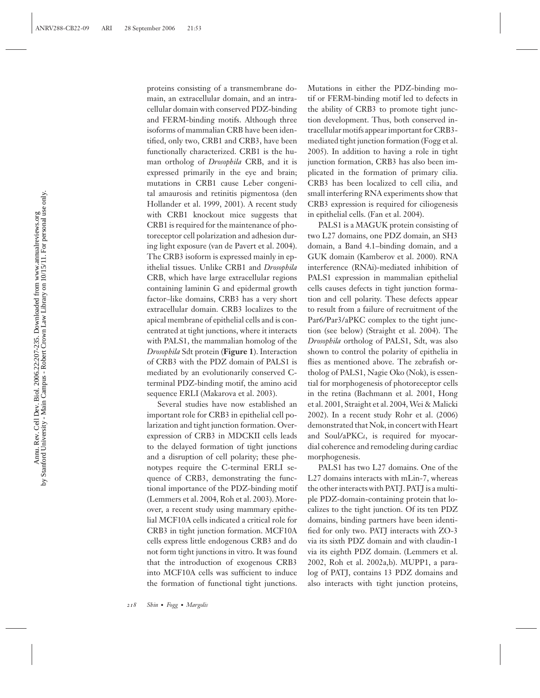proteins consisting of a transmembrane domain, an extracellular domain, and an intracellular domain with conserved PDZ-binding and FERM-binding motifs. Although three isoforms of mammalian CRB have been identified, only two, CRB1 and CRB3, have been functionally characterized. CRB1 is the human ortholog of *Drosophila* CRB, and it is expressed primarily in the eye and brain; mutations in CRB1 cause Leber congenital amaurosis and retinitis pigmentosa (den Hollander et al. 1999, 2001). A recent study with CRB1 knockout mice suggests that CRB1 is required for the maintenance of photoreceptor cell polarization and adhesion during light exposure (van de Pavert et al. 2004). The CRB3 isoform is expressed mainly in epithelial tissues. Unlike CRB1 and *Drosophila* CRB, which have large extracellular regions containing laminin G and epidermal growth factor–like domains, CRB3 has a very short extracellular domain. CRB3 localizes to the apical membrane of epithelial cells and is concentrated at tight junctions, where it interacts with PALS1, the mammalian homolog of the *Drosophila* Sdt protein (**Figure 1**). Interaction of CRB3 with the PDZ domain of PALS1 is mediated by an evolutionarily conserved Cterminal PDZ-binding motif, the amino acid sequence ERLI (Makarova et al. 2003).

Several studies have now established an important role for CRB3 in epithelial cell polarization and tight junction formation. Overexpression of CRB3 in MDCKII cells leads to the delayed formation of tight junctions and a disruption of cell polarity; these phenotypes require the C-terminal ERLI sequence of CRB3, demonstrating the functional importance of the PDZ-binding motif (Lemmers et al. 2004, Roh et al. 2003). Moreover, a recent study using mammary epithelial MCF10A cells indicated a critical role for CRB3 in tight junction formation. MCF10A cells express little endogenous CRB3 and do not form tight junctions in vitro. It was found that the introduction of exogenous CRB3 into MCF10A cells was sufficient to induce the formation of functional tight junctions.

Mutations in either the PDZ-binding motif or FERM-binding motif led to defects in the ability of CRB3 to promote tight junction development. Thus, both conserved intracellular motifs appear important for CRB3 mediated tight junction formation (Fogg et al. 2005). In addition to having a role in tight junction formation, CRB3 has also been implicated in the formation of primary cilia. CRB3 has been localized to cell cilia, and small interfering RNA experiments show that CRB3 expression is required for ciliogenesis in epithelial cells. (Fan et al. 2004).

PALS1 is a MAGUK protein consisting of two L27 domains, one PDZ domain, an SH3 domain, a Band 4.1–binding domain, and a GUK domain (Kamberov et al. 2000). RNA interference (RNAi)-mediated inhibition of PALS1 expression in mammalian epithelial cells causes defects in tight junction formation and cell polarity. These defects appear to result from a failure of recruitment of the Par6/Par3/aPKC complex to the tight junction (see below) (Straight et al. 2004). The *Drosophila* ortholog of PALS1, Sdt, was also shown to control the polarity of epithelia in flies as mentioned above. The zebrafish ortholog of PALS1, Nagie Oko (Nok), is essential for morphogenesis of photoreceptor cells in the retina (Bachmann et al. 2001, Hong et al. 2001, Straight et al. 2004, Wei & Malicki 2002). In a recent study Rohr et al. (2006) demonstrated that Nok, in concert with Heart and Soul/aPKC<sub>l</sub>, is required for myocardial coherence and remodeling during cardiac morphogenesis.

PALS1 has two L27 domains. One of the L27 domains interacts with mLin-7, whereas the other interacts with PATJ. PATJ is a multiple PDZ-domain-containing protein that localizes to the tight junction. Of its ten PDZ domains, binding partners have been identified for only two. PATJ interacts with ZO-3 via its sixth PDZ domain and with claudin-1 via its eighth PDZ domain. (Lemmers et al. 2002, Roh et al. 2002a,b). MUPP1, a paralog of PATJ, contains 13 PDZ domains and also interacts with tight junction proteins,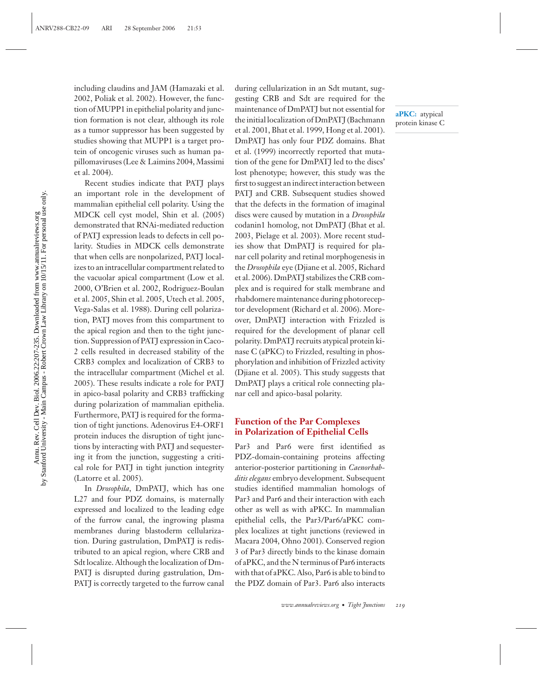including claudins and JAM (Hamazaki et al. 2002, Poliak et al. 2002). However, the function of MUPP1 in epithelial polarity and junction formation is not clear, although its role as a tumor suppressor has been suggested by studies showing that MUPP1 is a target protein of oncogenic viruses such as human papillomaviruses (Lee & Laimins 2004, Massimi et al. 2004).

Recent studies indicate that PATJ plays an important role in the development of mammalian epithelial cell polarity. Using the MDCK cell cyst model, Shin et al. (2005) demonstrated that RNAi-mediated reduction of PATJ expression leads to defects in cell polarity. Studies in MDCK cells demonstrate that when cells are nonpolarized, PATJ localizes to an intracellular compartment related to the vacuolar apical compartment (Low et al. 2000, O'Brien et al. 2002, Rodriguez-Boulan et al. 2005, Shin et al. 2005, Utech et al. 2005, Vega-Salas et al. 1988). During cell polarization, PATJ moves from this compartment to the apical region and then to the tight junction. Suppression of PATJ expression in Caco-2 cells resulted in decreased stability of the CRB3 complex and localization of CRB3 to the intracellular compartment (Michel et al. 2005). These results indicate a role for PATJ in apico-basal polarity and CRB3 trafficking during polarization of mammalian epithelia. Furthermore, PATJ is required for the formation of tight junctions. Adenovirus E4-ORF1 protein induces the disruption of tight junctions by interacting with PATJ and sequestering it from the junction, suggesting a critical role for PATJ in tight junction integrity (Latorre et al. 2005).

In *Drosophila*, DmPATJ, which has one L27 and four PDZ domains, is maternally expressed and localized to the leading edge of the furrow canal, the ingrowing plasma membranes during blastoderm cellularization. During gastrulation, DmPATJ is redistributed to an apical region, where CRB and Sdt localize. Although the localization of Dm-PATJ is disrupted during gastrulation, Dm-PATJ is correctly targeted to the furrow canal

during cellularization in an Sdt mutant, suggesting CRB and Sdt are required for the maintenance of DmPATJ but not essential for the initial localization of DmPATJ (Bachmann et al. 2001, Bhat et al. 1999, Hong et al. 2001). DmPATJ has only four PDZ domains. Bhat et al. (1999) incorrectly reported that mutation of the gene for DmPATJ led to the discs' lost phenotype; however, this study was the first to suggest an indirect interaction between PATJ and CRB. Subsequent studies showed that the defects in the formation of imaginal discs were caused by mutation in a *Drosophila* codanin1 homolog, not DmPATJ (Bhat et al. 2003, Pielage et al. 2003). More recent studies show that DmPATJ is required for planar cell polarity and retinal morphogenesis in the *Drosophila* eye (Djiane et al. 2005, Richard et al. 2006). DmPATJ stabilizes the CRB complex and is required for stalk membrane and rhabdomere maintenance during photoreceptor development (Richard et al. 2006). Moreover, DmPATJ interaction with Frizzled is required for the development of planar cell polarity. DmPATJ recruits atypical protein kinase C (aPKC) to Frizzled, resulting in phosphorylation and inhibition of Frizzled activity (Djiane et al. 2005). This study suggests that DmPATJ plays a critical role connecting planar cell and apico-basal polarity.

## **Function of the Par Complexes in Polarization of Epithelial Cells**

Par3 and Par6 were first identified as PDZ-domain-containing proteins affecting anterior-posterior partitioning in *Caenorhabditis elegans* embryo development. Subsequent studies identified mammalian homologs of Par3 and Par6 and their interaction with each other as well as with aPKC. In mammalian epithelial cells, the Par3/Par6/aPKC complex localizes at tight junctions (reviewed in Macara 2004, Ohno 2001). Conserved region 3 of Par3 directly binds to the kinase domain of aPKC, and the N terminus of Par6 interacts with that of aPKC. Also, Par6 is able to bind to the PDZ domain of Par3. Par6 also interacts

**aPKC:** atypical protein kinase C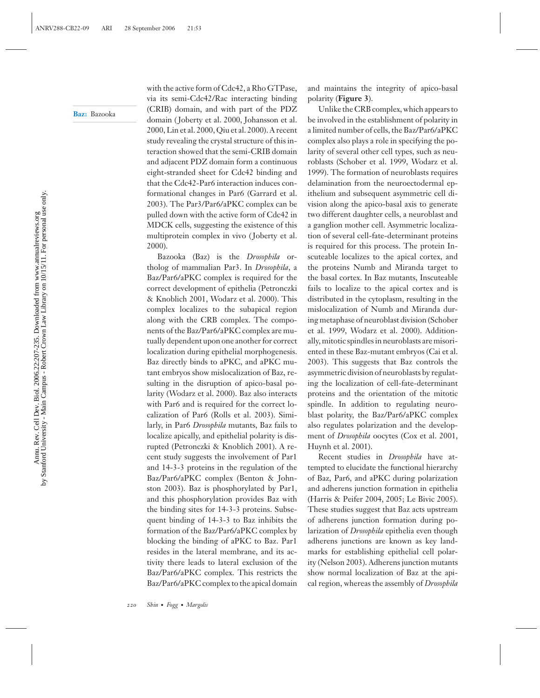**Baz:** Bazooka

with the active form of Cdc42, a Rho GTPase, via its semi-Cdc42/Rac interacting binding (CRIB) domain, and with part of the PDZ domain ( Joberty et al. 2000, Johansson et al. 2000, Lin et al. 2000, Qiu et al. 2000). A recent study revealing the crystal structure of this interaction showed that the semi-CRIB domain and adjacent PDZ domain form a continuous eight-stranded sheet for Cdc42 binding and that the Cdc42-Par6 interaction induces conformational changes in Par6 (Garrard et al. 2003). The Par3/Par6/aPKC complex can be pulled down with the active form of Cdc42 in MDCK cells, suggesting the existence of this multiprotein complex in vivo (Joberty et al. 2000).

Bazooka (Baz) is the *Drosophila* ortholog of mammalian Par3. In *Drosophila*, a Baz/Par6/aPKC complex is required for the correct development of epithelia (Petronczki & Knoblich 2001, Wodarz et al. 2000). This complex localizes to the subapical region along with the CRB complex. The components of the Baz/Par6/aPKC complex are mutually dependent upon one another for correct localization during epithelial morphogenesis. Baz directly binds to aPKC, and aPKC mutant embryos show mislocalization of Baz, resulting in the disruption of apico-basal polarity (Wodarz et al. 2000). Baz also interacts with Par6 and is required for the correct localization of Par6 (Rolls et al. 2003). Similarly, in Par6 *Drosophila* mutants, Baz fails to localize apically, and epithelial polarity is disrupted (Petronczki & Knoblich 2001). A recent study suggests the involvement of Par1 and 14-3-3 proteins in the regulation of the Baz/Par6/aPKC complex (Benton & Johnston 2003). Baz is phosphorylated by Par1, and this phosphorylation provides Baz with the binding sites for 14-3-3 proteins. Subsequent binding of 14-3-3 to Baz inhibits the formation of the Baz/Par6/aPKC complex by blocking the binding of aPKC to Baz. Par1 resides in the lateral membrane, and its activity there leads to lateral exclusion of the Baz/Par6/aPKC complex. This restricts the Baz/Par6/aPKC complex to the apical domain

and maintains the integrity of apico-basal polarity (**Figure 3**).

Unlike the CRB complex, which appears to be involved in the establishment of polarity in a limited number of cells, the Baz/Par6/aPKC complex also plays a role in specifying the polarity of several other cell types, such as neuroblasts (Schober et al. 1999, Wodarz et al. 1999). The formation of neuroblasts requires delamination from the neuroectodermal epithelium and subsequent asymmetric cell division along the apico-basal axis to generate two different daughter cells, a neuroblast and a ganglion mother cell. Asymmetric localization of several cell-fate-determinant proteins is required for this process. The protein Inscuteable localizes to the apical cortex, and the proteins Numb and Miranda target to the basal cortex. In Baz mutants, Inscuteable fails to localize to the apical cortex and is distributed in the cytoplasm, resulting in the mislocalization of Numb and Miranda during metaphase of neuroblast division (Schober et al. 1999, Wodarz et al. 2000). Additionally, mitotic spindles in neuroblasts are misoriented in these Baz-mutant embryos (Cai et al. 2003). This suggests that Baz controls the asymmetric division of neuroblasts by regulating the localization of cell-fate-determinant proteins and the orientation of the mitotic spindle. In addition to regulating neuroblast polarity, the Baz/Par6/aPKC complex also regulates polarization and the development of *Drosophila* oocytes (Cox et al. 2001, Huynh et al. 2001).

Recent studies in *Drosophila* have attempted to elucidate the functional hierarchy of Baz, Par6, and aPKC during polarization and adherens junction formation in epithelia (Harris & Peifer 2004, 2005; Le Bivic 2005). These studies suggest that Baz acts upstream of adherens junction formation during polarization of *Drosophila* epithelia even though adherens junctions are known as key landmarks for establishing epithelial cell polarity (Nelson 2003). Adherens junction mutants show normal localization of Baz at the apical region, whereas the assembly of *Drosophila*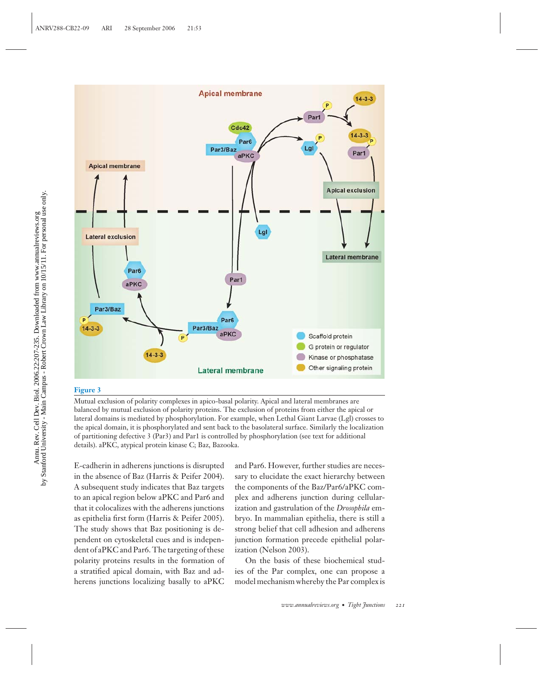

#### **Figure 3**

Annu. Rev. Cell Dev. Biol. 2006.22:207-235. Downloaded from www.annualreviews.org by Stanford University - Main Campus - Robert Crown Law Library on 10/15/11. For personal use only.

Annu. Rev. Cell Dev. Biol. 2006.22:207-235. Downloaded from www.annualreviews.org<br>by Stanford University - Main Campus - Robert Crown Law Library on 10/15/11. For personal use only.

Mutual exclusion of polarity complexes in apico-basal polarity. Apical and lateral membranes are balanced by mutual exclusion of polarity proteins. The exclusion of proteins from either the apical or lateral domains is mediated by phosphorylation. For example, when Lethal Giant Larvae (Lgl) crosses to the apical domain, it is phosphorylated and sent back to the basolateral surface. Similarly the localization of partitioning defective 3 (Par3) and Par1 is controlled by phosphorylation (see text for additional details). aPKC, atypical protein kinase C; Baz, Bazooka.

E-cadherin in adherens junctions is disrupted in the absence of Baz (Harris & Peifer 2004). A subsequent study indicates that Baz targets to an apical region below aPKC and Par6 and that it colocalizes with the adherens junctions as epithelia first form (Harris & Peifer 2005). The study shows that Baz positioning is dependent on cytoskeletal cues and is independent of aPKC and Par6. The targeting of these polarity proteins results in the formation of a stratified apical domain, with Baz and adherens junctions localizing basally to aPKC

and Par6. However, further studies are necessary to elucidate the exact hierarchy between the components of the Baz/Par6/aPKC complex and adherens junction during cellularization and gastrulation of the *Drosophila* embryo. In mammalian epithelia, there is still a strong belief that cell adhesion and adherens junction formation precede epithelial polarization (Nelson 2003).

On the basis of these biochemical studies of the Par complex, one can propose a model mechanism whereby the Par complex is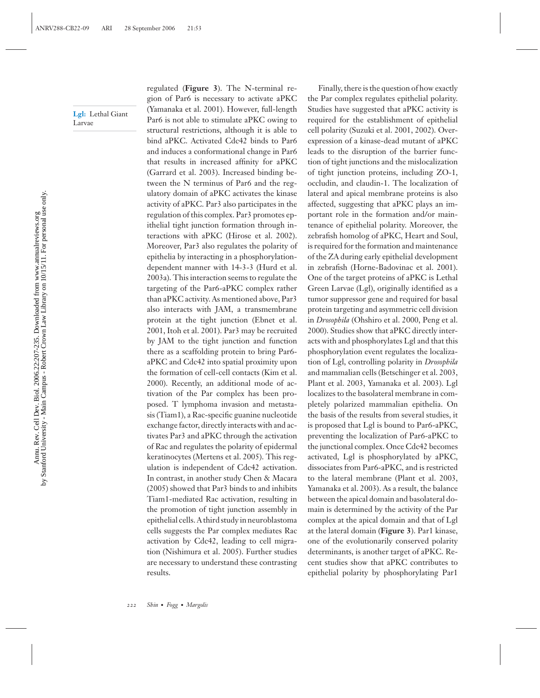**Lgl:** Lethal Giant Larvae

regulated (**Figure 3**). The N-terminal region of Par6 is necessary to activate aPKC (Yamanaka et al. 2001). However, full-length Par6 is not able to stimulate aPKC owing to structural restrictions, although it is able to bind aPKC. Activated Cdc42 binds to Par6 and induces a conformational change in Par6 that results in increased affinity for aPKC (Garrard et al. 2003). Increased binding between the N terminus of Par6 and the regulatory domain of aPKC activates the kinase activity of aPKC. Par3 also participates in the regulation of this complex. Par3 promotes epithelial tight junction formation through interactions with aPKC (Hirose et al. 2002). Moreover, Par3 also regulates the polarity of epithelia by interacting in a phosphorylationdependent manner with 14-3-3 (Hurd et al. 2003a). This interaction seems to regulate the targeting of the Par6-aPKC complex rather than aPKC activity. As mentioned above, Par3 also interacts with JAM, a transmembrane protein at the tight junction (Ebnet et al. 2001, Itoh et al. 2001). Par3 may be recruited by JAM to the tight junction and function there as a scaffolding protein to bring Par6 aPKC and Cdc42 into spatial proximity upon the formation of cell-cell contacts (Kim et al. 2000). Recently, an additional mode of activation of the Par complex has been proposed. T lymphoma invasion and metastasis (Tiam1), a Rac-specific guanine nucleotide exchange factor, directly interacts with and activates Par3 and aPKC through the activation of Rac and regulates the polarity of epidermal keratinocytes (Mertens et al. 2005). This regulation is independent of Cdc42 activation. In contrast, in another study Chen & Macara (2005) showed that Par3 binds to and inhibits Tiam1-mediated Rac activation, resulting in the promotion of tight junction assembly in epithelial cells. A third study in neuroblastoma cells suggests the Par complex mediates Rac activation by Cdc42, leading to cell migration (Nishimura et al. 2005). Further studies are necessary to understand these contrasting results.

Finally, there is the question of how exactly the Par complex regulates epithelial polarity. Studies have suggested that aPKC activity is required for the establishment of epithelial cell polarity (Suzuki et al. 2001, 2002). Overexpression of a kinase-dead mutant of aPKC leads to the disruption of the barrier function of tight junctions and the mislocalization of tight junction proteins, including ZO-1, occludin, and claudin-1. The localization of lateral and apical membrane proteins is also affected, suggesting that aPKC plays an important role in the formation and/or maintenance of epithelial polarity. Moreover, the zebrafish homolog of aPKC, Heart and Soul, is required for the formation and maintenance of the ZA during early epithelial development in zebrafish (Horne-Badovinac et al. 2001). One of the target proteins of aPKC is Lethal Green Larvae (Lgl), originally identified as a tumor suppressor gene and required for basal protein targeting and asymmetric cell division in *Drosophila* (Ohshiro et al. 2000, Peng et al. 2000). Studies show that aPKC directly interacts with and phosphorylates Lgl and that this phosphorylation event regulates the localization of Lgl, controlling polarity in *Drosophila* and mammalian cells (Betschinger et al. 2003, Plant et al. 2003, Yamanaka et al. 2003). Lgl localizes to the basolateral membrane in completely polarized mammalian epithelia. On the basis of the results from several studies, it is proposed that Lgl is bound to Par6-aPKC, preventing the localization of Par6-aPKC to the junctional complex. Once Cdc42 becomes activated, Lgl is phosphorylated by aPKC, dissociates from Par6-aPKC, and is restricted to the lateral membrane (Plant et al. 2003, Yamanaka et al. 2003). As a result, the balance between the apical domain and basolateral domain is determined by the activity of the Par complex at the apical domain and that of Lgl at the lateral domain (**Figure 3**). Par1 kinase, one of the evolutionarily conserved polarity determinants, is another target of aPKC. Recent studies show that aPKC contributes to epithelial polarity by phosphorylating Par1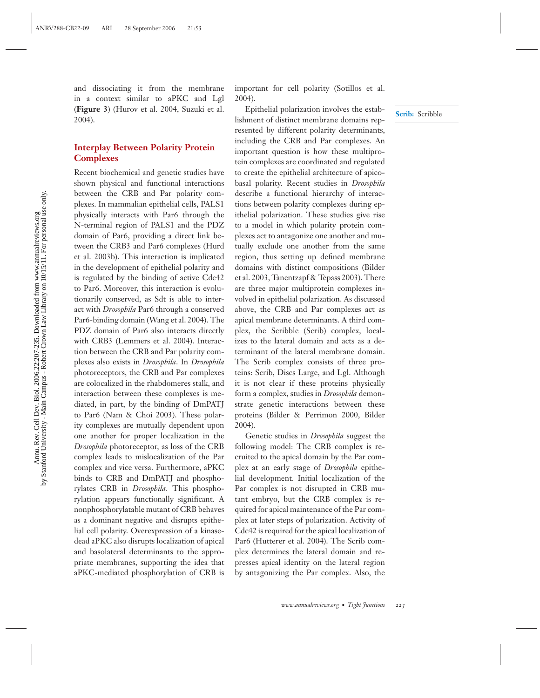and dissociating it from the membrane in a context similar to aPKC and Lgl (**Figure 3**) (Hurov et al. 2004, Suzuki et al. 2004).

## **Interplay Between Polarity Protein Complexes**

Recent biochemical and genetic studies have shown physical and functional interactions between the CRB and Par polarity complexes. In mammalian epithelial cells, PALS1 physically interacts with Par6 through the N-terminal region of PALS1 and the PDZ domain of Par6, providing a direct link between the CRB3 and Par6 complexes (Hurd et al. 2003b). This interaction is implicated in the development of epithelial polarity and is regulated by the binding of active Cdc42 to Par6. Moreover, this interaction is evolutionarily conserved, as Sdt is able to interact with *Drosophila* Par6 through a conserved Par6-binding domain (Wang et al. 2004). The PDZ domain of Par6 also interacts directly with CRB3 (Lemmers et al. 2004). Interaction between the CRB and Par polarity complexes also exists in *Drosophila*. In *Drosophila* photoreceptors, the CRB and Par complexes are colocalized in the rhabdomeres stalk, and interaction between these complexes is mediated, in part, by the binding of DmPATJ to Par6 (Nam & Choi 2003). These polarity complexes are mutually dependent upon one another for proper localization in the *Drosophila* photoreceptor, as loss of the CRB complex leads to mislocalization of the Par complex and vice versa. Furthermore, aPKC binds to CRB and DmPATJ and phosphorylates CRB in *Drosophila*. This phosphorylation appears functionally significant. A nonphosphorylatable mutant of CRB behaves as a dominant negative and disrupts epithelial cell polarity. Overexpression of a kinasedead aPKC also disrupts localization of apical and basolateral determinants to the appropriate membranes, supporting the idea that aPKC-mediated phosphorylation of CRB is important for cell polarity (Sotillos et al. 2004).

Epithelial polarization involves the establishment of distinct membrane domains represented by different polarity determinants, including the CRB and Par complexes. An important question is how these multiprotein complexes are coordinated and regulated to create the epithelial architecture of apicobasal polarity. Recent studies in *Drosophila* describe a functional hierarchy of interactions between polarity complexes during epithelial polarization. These studies give rise to a model in which polarity protein complexes act to antagonize one another and mutually exclude one another from the same region, thus setting up defined membrane domains with distinct compositions (Bilder et al. 2003, Tanentzapf & Tepass 2003). There are three major multiprotein complexes involved in epithelial polarization. As discussed above, the CRB and Par complexes act as apical membrane determinants. A third complex, the Scribble (Scrib) complex, localizes to the lateral domain and acts as a determinant of the lateral membrane domain. The Scrib complex consists of three proteins: Scrib, Discs Large, and Lgl. Although it is not clear if these proteins physically form a complex, studies in *Drosophila* demonstrate genetic interactions between these proteins (Bilder & Perrimon 2000, Bilder 2004).

Genetic studies in *Drosophila* suggest the following model: The CRB complex is recruited to the apical domain by the Par complex at an early stage of *Drosophila* epithelial development. Initial localization of the Par complex is not disrupted in CRB mutant embryo, but the CRB complex is required for apical maintenance of the Par complex at later steps of polarization. Activity of Cdc42 is required for the apical localization of Par6 (Hutterer et al. 2004). The Scrib complex determines the lateral domain and represses apical identity on the lateral region by antagonizing the Par complex. Also, the

#### **Scrib:** Scribble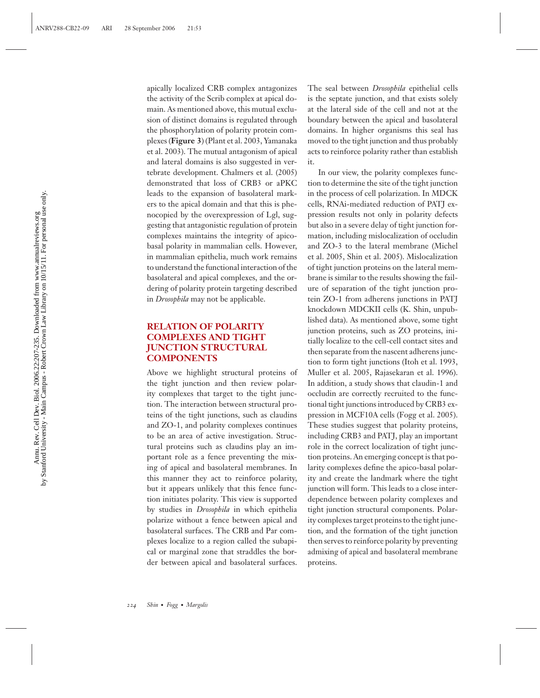apically localized CRB complex antagonizes the activity of the Scrib complex at apical domain. As mentioned above, this mutual exclusion of distinct domains is regulated through the phosphorylation of polarity protein complexes (**Figure 3**) (Plant et al. 2003, Yamanaka et al. 2003). The mutual antagonism of apical and lateral domains is also suggested in vertebrate development. Chalmers et al. (2005) demonstrated that loss of CRB3 or aPKC leads to the expansion of basolateral markers to the apical domain and that this is phenocopied by the overexpression of Lgl, suggesting that antagonistic regulation of protein complexes maintains the integrity of apicobasal polarity in mammalian cells. However, in mammalian epithelia, much work remains to understand the functional interaction of the basolateral and apical complexes, and the ordering of polarity protein targeting described in *Drosophila* may not be applicable.

## **RELATION OF POLARITY COMPLEXES AND TIGHT JUNCTION STRUCTURAL COMPONENTS**

Above we highlight structural proteins of the tight junction and then review polarity complexes that target to the tight junction. The interaction between structural proteins of the tight junctions, such as claudins and ZO-1, and polarity complexes continues to be an area of active investigation. Structural proteins such as claudins play an important role as a fence preventing the mixing of apical and basolateral membranes. In this manner they act to reinforce polarity, but it appears unlikely that this fence function initiates polarity. This view is supported by studies in *Drosophila* in which epithelia polarize without a fence between apical and basolateral surfaces. The CRB and Par complexes localize to a region called the subapical or marginal zone that straddles the border between apical and basolateral surfaces.

The seal between *Drosophila* epithelial cells is the septate junction, and that exists solely at the lateral side of the cell and not at the boundary between the apical and basolateral domains. In higher organisms this seal has moved to the tight junction and thus probably acts to reinforce polarity rather than establish it.

In our view, the polarity complexes function to determine the site of the tight junction in the process of cell polarization. In MDCK cells, RNAi-mediated reduction of PATJ expression results not only in polarity defects but also in a severe delay of tight junction formation, including mislocalization of occludin and ZO-3 to the lateral membrane (Michel et al. 2005, Shin et al. 2005). Mislocalization of tight junction proteins on the lateral membrane is similar to the results showing the failure of separation of the tight junction protein ZO-1 from adherens junctions in PATJ knockdown MDCKII cells (K. Shin, unpublished data). As mentioned above, some tight junction proteins, such as ZO proteins, initially localize to the cell-cell contact sites and then separate from the nascent adherens junction to form tight junctions (Itoh et al. 1993, Muller et al. 2005, Rajasekaran et al. 1996). In addition, a study shows that claudin-1 and occludin are correctly recruited to the functional tight junctions introduced by CRB3 expression in MCF10A cells (Fogg et al. 2005). These studies suggest that polarity proteins, including CRB3 and PATJ, play an important role in the correct localization of tight junction proteins. An emerging concept is that polarity complexes define the apico-basal polarity and create the landmark where the tight junction will form. This leads to a close interdependence between polarity complexes and tight junction structural components. Polarity complexes target proteins to the tight junction, and the formation of the tight junction then serves to reinforce polarity by preventing admixing of apical and basolateral membrane proteins.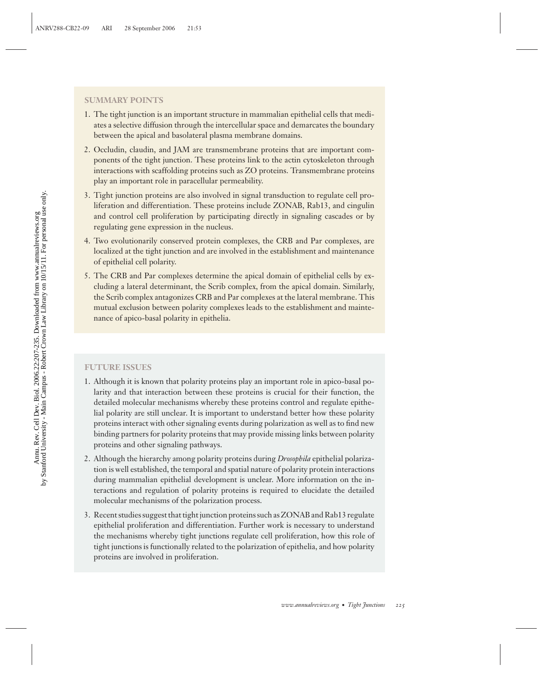## **SUMMARY POINTS**

- 1. The tight junction is an important structure in mammalian epithelial cells that mediates a selective diffusion through the intercellular space and demarcates the boundary between the apical and basolateral plasma membrane domains.
- 2. Occludin, claudin, and JAM are transmembrane proteins that are important components of the tight junction. These proteins link to the actin cytoskeleton through interactions with scaffolding proteins such as ZO proteins. Transmembrane proteins play an important role in paracellular permeability.
- 3. Tight junction proteins are also involved in signal transduction to regulate cell proliferation and differentiation. These proteins include ZONAB, Rab13, and cingulin and control cell proliferation by participating directly in signaling cascades or by regulating gene expression in the nucleus.
- 4. Two evolutionarily conserved protein complexes, the CRB and Par complexes, are localized at the tight junction and are involved in the establishment and maintenance of epithelial cell polarity.
- 5. The CRB and Par complexes determine the apical domain of epithelial cells by excluding a lateral determinant, the Scrib complex, from the apical domain. Similarly, the Scrib complex antagonizes CRB and Par complexes at the lateral membrane. This mutual exclusion between polarity complexes leads to the establishment and maintenance of apico-basal polarity in epithelia.

## **FUTURE ISSUES**

- 1. Although it is known that polarity proteins play an important role in apico-basal polarity and that interaction between these proteins is crucial for their function, the detailed molecular mechanisms whereby these proteins control and regulate epithelial polarity are still unclear. It is important to understand better how these polarity proteins interact with other signaling events during polarization as well as to find new binding partners for polarity proteins that may provide missing links between polarity proteins and other signaling pathways.
- 2. Although the hierarchy among polarity proteins during *Drosophila* epithelial polarization is well established, the temporal and spatial nature of polarity protein interactions during mammalian epithelial development is unclear. More information on the interactions and regulation of polarity proteins is required to elucidate the detailed molecular mechanisms of the polarization process.
- 3. Recent studies suggest that tight junction proteins such as ZONAB and Rab13 regulate epithelial proliferation and differentiation. Further work is necessary to understand the mechanisms whereby tight junctions regulate cell proliferation, how this role of tight junctions is functionally related to the polarization of epithelia, and how polarity proteins are involved in proliferation.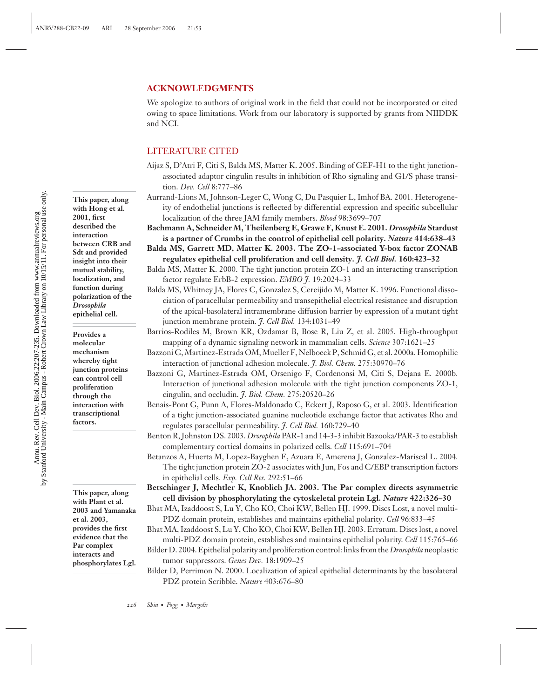## **ACKNOWLEDGMENTS**

We apologize to authors of original work in the field that could not be incorporated or cited owing to space limitations. Work from our laboratory is supported by grants from NIIDDK and NCI.

## LITERATURE CITED

- Aijaz S, D'Atri F, Citi S, Balda MS, Matter K. 2005. Binding of GEF-H1 to the tight junctionassociated adaptor cingulin results in inhibition of Rho signaling and G1/S phase transition. *Dev. Cell* 8:777–86
- Aurrand-Lions M, Johnson-Leger C, Wong C, Du Pasquier L, Imhof BA. 2001. Heterogeneity of endothelial junctions is reflected by differential expression and specific subcellular localization of the three JAM family members. *Blood* 98:3699–707

**Bachmann A, Schneider M, Theilenberg E, Grawe F, Knust E. 2001.** *Drosophila* **Stardust is a partner of Crumbs in the control of epithelial cell polarity.** *Nature* **414:638–43**

**Balda MS, Garrett MD, Matter K. 2003. The ZO-1-associated Y-box factor ZONAB regulates epithelial cell proliferation and cell density.** *J. Cell Biol.* **160:423–32**

- Balda MS, Matter K. 2000. The tight junction protein ZO-1 and an interacting transcription factor regulate ErbB-2 expression. *EMBO J.* 19:2024–33
- Balda MS, Whitney JA, Flores C, Gonzalez S, Cereijido M, Matter K. 1996. Functional dissociation of paracellular permeability and transepithelial electrical resistance and disruption of the apical-basolateral intramembrane diffusion barrier by expression of a mutant tight junction membrane protein. *J. Cell Biol.* 134:1031–49
- Barrios-Rodiles M, Brown KR, Ozdamar B, Bose R, Liu Z, et al. 2005. High-throughput mapping of a dynamic signaling network in mammalian cells. *Science* 307:1621–25
- Bazzoni G, Martinez-Estrada OM, Mueller F, Nelboeck P, Schmid G, et al. 2000a. Homophilic interaction of junctional adhesion molecule. *J. Biol. Chem.* 275:30970–76
- Bazzoni G, Martinez-Estrada OM, Orsenigo F, Cordenonsi M, Citi S, Dejana E. 2000b. Interaction of junctional adhesion molecule with the tight junction components ZO-1, cingulin, and occludin. *J. Biol. Chem.* 275:20520–26
- Benais-Pont G, Punn A, Flores-Maldonado C, Eckert J, Raposo G, et al. 2003. Identification of a tight junction-associated guanine nucleotide exchange factor that activates Rho and regulates paracellular permeability. *J. Cell Biol.* 160:729–40
- Benton R, Johnston DS. 2003. *Drosophila* PAR-1 and 14-3-3 inhibit Bazooka/PAR-3 to establish complementary cortical domains in polarized cells. *Cell* 115:691–704
- Betanzos A, Huerta M, Lopez-Bayghen E, Azuara E, Amerena J, Gonzalez-Mariscal L. 2004. The tight junction protein ZO-2 associates with Jun, Fos and C/EBP transcription factors in epithelial cells. *Exp. Cell Res.* 292:51–66
- **Betschinger J, Mechtler K, Knoblich JA. 2003. The Par complex directs asymmetric cell division by phosphorylating the cytoskeletal protein Lgl.** *Nature* **422:326–30**
- Bhat MA, Izaddoost S, Lu Y, Cho KO, Choi KW, Bellen HJ. 1999. Discs Lost, a novel multi-PDZ domain protein, establishes and maintains epithelial polarity. *Cell* 96:833–45

Bhat MA, Izaddoost S, Lu Y, Cho KO, Choi KW, Bellen HJ. 2003. Erratum. Discs lost, a novel multi-PDZ domain protein, establishes and maintains epithelial polarity. *Cell* 115:765–66

- Bilder D. 2004. Epithelial polarity and proliferation control: links from the*Drosophila* neoplastic tumor suppressors. *Genes Dev.* 18:1909–25
- Bilder D, Perrimon N. 2000. Localization of apical epithelial determinants by the basolateral PDZ protein Scribble. *Nature* 403:676–80

**epithelial cell. Provides a molecular mechanism whereby tight junction proteins can control cell proliferation through the interaction with transcriptional factors.**

**This paper, along with Hong et al. 2001, first described the interaction between CRB and Sdt and provided insight into their mutual stability, localization, and function during polarization of the** *Drosophila*

**This paper, along with Plant et al. 2003 and Yamanaka et al. 2003, provides the first evidence that the Par complex interacts and phosphorylates Lgl.**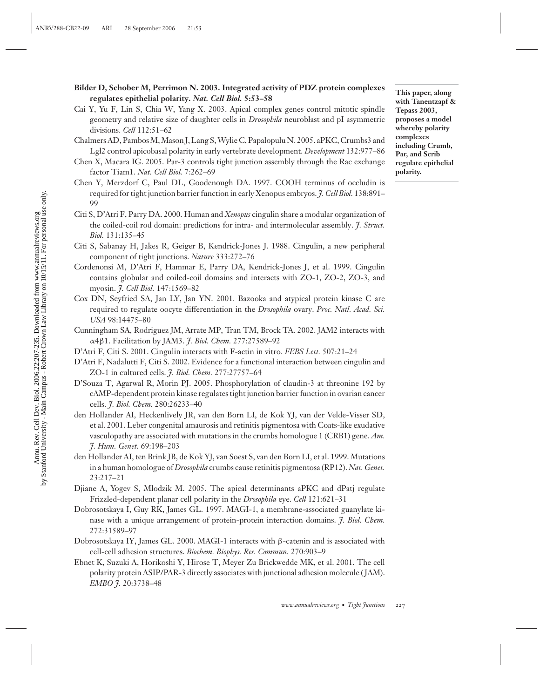- Cai Y, Yu F, Lin S, Chia W, Yang X. 2003. Apical complex genes control mitotic spindle geometry and relative size of daughter cells in *Drosophila* neuroblast and pI asymmetric divisions. *Cell* 112:51–62
- Chalmers AD, Pambos M, Mason J, Lang S, Wylie C, Papalopulu N. 2005. aPKC, Crumbs3 and Lgl2 control apicobasal polarity in early vertebrate development. *Development* 132:977–86
- Chen X, Macara IG. 2005. Par-3 controls tight junction assembly through the Rac exchange factor Tiam1. *Nat. Cell Biol.* 7:262–69
- Chen Y, Merzdorf C, Paul DL, Goodenough DA. 1997. COOH terminus of occludin is required for tight junction barrier function in early Xenopus embryos. *J. Cell Biol.* 138:891– 99
- Citi S, D'Atri F, Parry DA. 2000. Human and *Xenopus* cingulin share a modular organization of the coiled-coil rod domain: predictions for intra- and intermolecular assembly. *J. Struct. Biol.* 131:135–45
- Citi S, Sabanay H, Jakes R, Geiger B, Kendrick-Jones J. 1988. Cingulin, a new peripheral component of tight junctions. *Nature* 333:272–76
- Cordenonsi M, D'Atri F, Hammar E, Parry DA, Kendrick-Jones J, et al. 1999. Cingulin contains globular and coiled-coil domains and interacts with ZO-1, ZO-2, ZO-3, and myosin. *J. Cell Biol.* 147:1569–82
- Cox DN, Seyfried SA, Jan LY, Jan YN. 2001. Bazooka and atypical protein kinase C are required to regulate oocyte differentiation in the *Drosophila* ovary. *Proc. Natl. Acad. Sci. USA* 98:14475–80
- Cunningham SA, Rodriguez JM, Arrate MP, Tran TM, Brock TA. 2002. JAM2 interacts with α4β1. Facilitation by JAM3. *J. Biol. Chem.* 277:27589–92
- D'Atri F, Citi S. 2001. Cingulin interacts with F-actin in vitro. *FEBS Lett.* 507:21–24
- D'Atri F, Nadalutti F, Citi S. 2002. Evidence for a functional interaction between cingulin and ZO-1 in cultured cells. *J. Biol. Chem.* 277:27757–64
- D'Souza T, Agarwal R, Morin PJ. 2005. Phosphorylation of claudin-3 at threonine 192 by cAMP-dependent protein kinase regulates tight junction barrier function in ovarian cancer cells. *J. Biol. Chem.* 280:26233–40
- den Hollander AI, Heckenlively JR, van den Born LI, de Kok YJ, van der Velde-Visser SD, et al. 2001. Leber congenital amaurosis and retinitis pigmentosa with Coats-like exudative vasculopathy are associated with mutations in the crumbs homologue 1 (CRB1) gene. *Am. J. Hum. Genet.* 69:198–203
- den Hollander AI, ten Brink JB, de Kok YJ, van Soest S, van den Born LI, et al. 1999. Mutations in a human homologue of *Drosophila* crumbs cause retinitis pigmentosa (RP12). *Nat. Genet.* 23:217–21
- Djiane A, Yogev S, Mlodzik M. 2005. The apical determinants aPKC and dPatj regulate Frizzled-dependent planar cell polarity in the *Drosophila* eye. *Cell* 121:621–31
- Dobrosotskaya I, Guy RK, James GL. 1997. MAGI-1, a membrane-associated guanylate kinase with a unique arrangement of protein-protein interaction domains. *J. Biol. Chem.* 272:31589–97
- Dobrosotskaya IY, James GL. 2000. MAGI-1 interacts with β-catenin and is associated with cell-cell adhesion structures. *Biochem. Biophys. Res. Commun.* 270:903–9
- Ebnet K, Suzuki A, Horikoshi Y, Hirose T, Meyer Zu Brickwedde MK, et al. 2001. The cell polarity protein ASIP/PAR-3 directly associates with junctional adhesion molecule ( JAM). *EMBO J.* 20:3738–48

**This paper, along with Tanentzapf & Tepass 2003, proposes a model whereby polarity complexes including Crumb, Par, and Scrib regulate epithelial polarity.**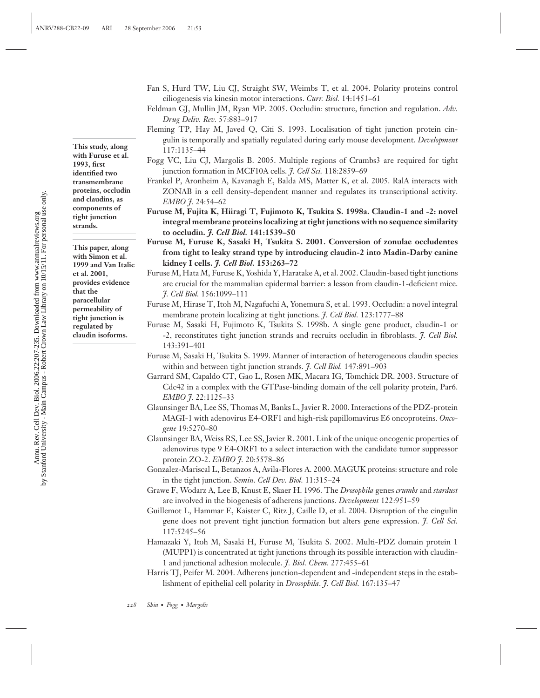**This study, along with Furuse et al. 1993, first identified two transmembrane proteins, occludin and claudins, as components of tight junction strands.**

**This paper, along with Simon et al. 1999 and Van Italie et al. 2001, provides evidence that the paracellular permeability of tight junction is regulated by claudin isoforms.**

- Fan S, Hurd TW, Liu CJ, Straight SW, Weimbs T, et al. 2004. Polarity proteins control ciliogenesis via kinesin motor interactions. *Curr. Biol.* 14:1451–61
- Feldman GJ, Mullin JM, Ryan MP. 2005. Occludin: structure, function and regulation. *Adv. Drug Deliv. Rev.* 57:883–917
- Fleming TP, Hay M, Javed Q, Citi S. 1993. Localisation of tight junction protein cingulin is temporally and spatially regulated during early mouse development. *Development* 117:1135–44
- Fogg VC, Liu CJ, Margolis B. 2005. Multiple regions of Crumbs3 are required for tight junction formation in MCF10A cells. *J. Cell Sci.* 118:2859–69
- Frankel P, Aronheim A, Kavanagh E, Balda MS, Matter K, et al. 2005. RalA interacts with ZONAB in a cell density-dependent manner and regulates its transcriptional activity. *EMBO J.* 24:54–62
- **Furuse M, Fujita K, Hiiragi T, Fujimoto K, Tsukita S. 1998a. Claudin-1 and -2: novel integral membrane proteins localizing at tight junctions with no sequence similarity to occludin.** *J. Cell Biol.* **141:1539–50**
- **Furuse M, Furuse K, Sasaki H, Tsukita S. 2001. Conversion of zonulae occludentes from tight to leaky strand type by introducing claudin-2 into Madin-Darby canine kidney I cells.** *J. Cell Biol.* **153:263–72**
- Furuse M, Hata M, Furuse K, Yoshida Y, Haratake A, et al. 2002. Claudin-based tight junctions are crucial for the mammalian epidermal barrier: a lesson from claudin-1-deficient mice. *J. Cell Biol.* 156:1099–111
- Furuse M, Hirase T, Itoh M, Nagafuchi A, Yonemura S, et al. 1993. Occludin: a novel integral membrane protein localizing at tight junctions. *J. Cell Biol.* 123:1777–88
- Furuse M, Sasaki H, Fujimoto K, Tsukita S. 1998b. A single gene product, claudin-1 or -2, reconstitutes tight junction strands and recruits occludin in fibroblasts. *J. Cell Biol.* 143:391–401
- Furuse M, Sasaki H, Tsukita S. 1999. Manner of interaction of heterogeneous claudin species within and between tight junction strands. *J. Cell Biol.* 147:891–903
- Garrard SM, Capaldo CT, Gao L, Rosen MK, Macara IG, Tomchick DR. 2003. Structure of Cdc42 in a complex with the GTPase-binding domain of the cell polarity protein, Par6. *EMBO J.* 22:1125–33
- Glaunsinger BA, Lee SS, Thomas M, Banks L, Javier R. 2000. Interactions of the PDZ-protein MAGI-1 with adenovirus E4-ORF1 and high-risk papillomavirus E6 oncoproteins. *Oncogene* 19:5270–80
- Glaunsinger BA, Weiss RS, Lee SS, Javier R. 2001. Link of the unique oncogenic properties of adenovirus type 9 E4-ORF1 to a select interaction with the candidate tumor suppressor protein ZO-2. *EMBO J.* 20:5578–86
- Gonzalez-Mariscal L, Betanzos A, Avila-Flores A. 2000. MAGUK proteins: structure and role in the tight junction. *Semin. Cell Dev. Biol.* 11:315–24
- Grawe F, Wodarz A, Lee B, Knust E, Skaer H. 1996. The *Drosophila* genes *crumbs* and *stardust* are involved in the biogenesis of adherens junctions. *Development* 122:951–59
- Guillemot L, Hammar E, Kaister C, Ritz J, Caille D, et al. 2004. Disruption of the cingulin gene does not prevent tight junction formation but alters gene expression. *J. Cell Sci.* 117:5245–56
- Hamazaki Y, Itoh M, Sasaki H, Furuse M, Tsukita S. 2002. Multi-PDZ domain protein 1 (MUPP1) is concentrated at tight junctions through its possible interaction with claudin-1 and junctional adhesion molecule. *J. Biol. Chem.* 277:455–61
- Harris TJ, Peifer M. 2004. Adherens junction-dependent and -independent steps in the establishment of epithelial cell polarity in *Drosophila*. *J. Cell Biol.* 167:135–47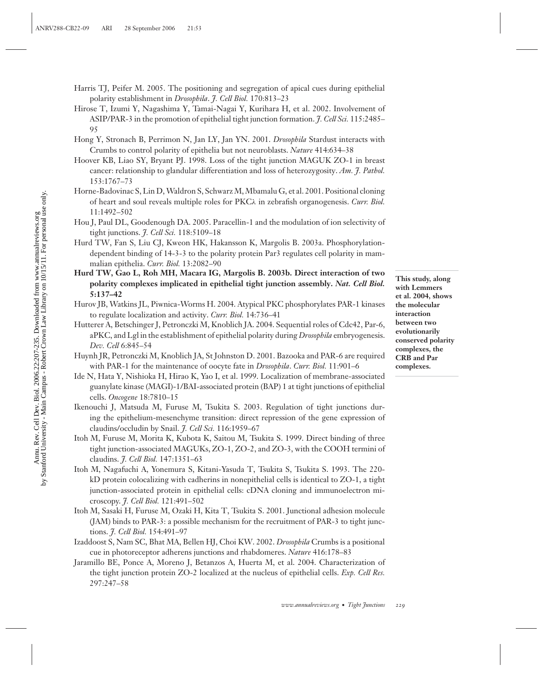- Harris TJ, Peifer M. 2005. The positioning and segregation of apical cues during epithelial polarity establishment in *Drosophila*. *J. Cell Biol.* 170:813–23
- Hirose T, Izumi Y, Nagashima Y, Tamai-Nagai Y, Kurihara H, et al. 2002. Involvement of ASIP/PAR-3 in the promotion of epithelial tight junction formation. *J. Cell Sci.* 115:2485– 95
- Hong Y, Stronach B, Perrimon N, Jan LY, Jan YN. 2001. *Drosophila* Stardust interacts with Crumbs to control polarity of epithelia but not neuroblasts. *Nature* 414:634–38
- Hoover KB, Liao SY, Bryant PJ. 1998. Loss of the tight junction MAGUK ZO-1 in breast cancer: relationship to glandular differentiation and loss of heterozygosity. *Am. J. Pathol.* 153:1767–73
- Horne-Badovinac S, Lin D, Waldron S, Schwarz M, Mbamalu G, et al. 2001. Positional cloning of heart and soul reveals multiple roles for PKCλ in zebrafish organogenesis. *Curr. Biol.* 11:1492–502
- Hou J, Paul DL, Goodenough DA. 2005. Paracellin-1 and the modulation of ion selectivity of tight junctions. *J. Cell Sci.* 118:5109–18
- Hurd TW, Fan S, Liu CJ, Kweon HK, Hakansson K, Margolis B. 2003a. Phosphorylationdependent binding of 14-3-3 to the polarity protein Par3 regulates cell polarity in mammalian epithelia. *Curr. Biol.* 13:2082–90
- **Hurd TW, Gao L, Roh MH, Macara IG, Margolis B. 2003b. Direct interaction of two polarity complexes implicated in epithelial tight junction assembly.** *Nat. Cell Biol.* **5:137–42**
- Hurov JB, Watkins JL, Piwnica-Worms H. 2004. Atypical PKC phosphorylates PAR-1 kinases to regulate localization and activity. *Curr. Biol.* 14:736–41
- Hutterer A, Betschinger J, Petronczki M, Knoblich JA. 2004. Sequential roles of Cdc42, Par-6, aPKC, and Lgl in the establishment of epithelial polarity during *Drosophila* embryogenesis. *Dev. Cell* 6:845–54
- Huynh JR, Petronczki M, Knoblich JA, St Johnston D. 2001. Bazooka and PAR-6 are required with PAR-1 for the maintenance of oocyte fate in *Drosophila*. *Curr. Biol.* 11:901–6
- Ide N, Hata Y, Nishioka H, Hirao K, Yao I, et al. 1999. Localization of membrane-associated guanylate kinase (MAGI)-1/BAI-associated protein (BAP) 1 at tight junctions of epithelial cells. *Oncogene* 18:7810–15
- Ikenouchi J, Matsuda M, Furuse M, Tsukita S. 2003. Regulation of tight junctions during the epithelium-mesenchyme transition: direct repression of the gene expression of claudins/occludin by Snail. *J. Cell Sci.* 116:1959–67
- Itoh M, Furuse M, Morita K, Kubota K, Saitou M, Tsukita S. 1999. Direct binding of three tight junction-associated MAGUKs, ZO-1, ZO-2, and ZO-3, with the COOH termini of claudins. *J. Cell Biol.* 147:1351–63
- Itoh M, Nagafuchi A, Yonemura S, Kitani-Yasuda T, Tsukita S, Tsukita S. 1993. The 220 kD protein colocalizing with cadherins in nonepithelial cells is identical to ZO-1, a tight junction-associated protein in epithelial cells: cDNA cloning and immunoelectron microscopy. *J. Cell Biol.* 121:491–502
- Itoh M, Sasaki H, Furuse M, Ozaki H, Kita T, Tsukita S. 2001. Junctional adhesion molecule (JAM) binds to PAR-3: a possible mechanism for the recruitment of PAR-3 to tight junctions. *J. Cell Biol.* 154:491–97
- Izaddoost S, Nam SC, Bhat MA, Bellen HJ, Choi KW. 2002. *Drosophila* Crumbs is a positional cue in photoreceptor adherens junctions and rhabdomeres. *Nature* 416:178–83
- Jaramillo BE, Ponce A, Moreno J, Betanzos A, Huerta M, et al. 2004. Characterization of the tight junction protein ZO-2 localized at the nucleus of epithelial cells. *Exp. Cell Res.* 297:247–58

**This study, along with Lemmers et al. 2004, shows the molecular interaction between two evolutionarily conserved polarity complexes, the CRB and Par complexes.**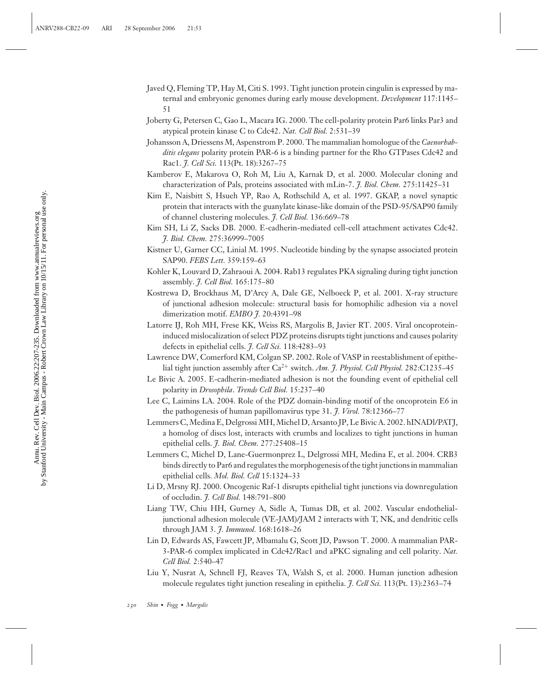- Javed Q, Fleming TP, Hay M, Citi S. 1993. Tight junction protein cingulin is expressed by maternal and embryonic genomes during early mouse development. *Development* 117:1145– 51
- Joberty G, Petersen C, Gao L, Macara IG. 2000. The cell-polarity protein Par6 links Par3 and atypical protein kinase C to Cdc42. *Nat. Cell Biol.* 2:531–39
- Johansson A, Driessens M, Aspenstrom P. 2000. The mammalian homologue of the *Caenorhabditis elegans* polarity protein PAR-6 is a binding partner for the Rho GTPases Cdc42 and Rac1. *J. Cell Sci.* 113(Pt. 18):3267–75
- Kamberov E, Makarova O, Roh M, Liu A, Karnak D, et al. 2000. Molecular cloning and characterization of Pals, proteins associated with mLin-7. *J. Biol. Chem.* 275:11425–31
- Kim E, Naisbitt S, Hsueh YP, Rao A, Rothschild A, et al. 1997. GKAP, a novel synaptic protein that interacts with the guanylate kinase-like domain of the PSD-95/SAP90 family of channel clustering molecules. *J. Cell Biol.* 136:669–78
- Kim SH, Li Z, Sacks DB. 2000. E-cadherin-mediated cell-cell attachment activates Cdc42. *J. Biol. Chem.* 275:36999–7005
- Kistner U, Garner CC, Linial M. 1995. Nucleotide binding by the synapse associated protein SAP90. *FEBS Lett.* 359:159–63
- Kohler K, Louvard D, Zahraoui A. 2004. Rab13 regulates PKA signaling during tight junction assembly. *J. Cell Biol.* 165:175–80
- Kostrewa D, Brockhaus M, D'Arcy A, Dale GE, Nelboeck P, et al. 2001. X-ray structure of junctional adhesion molecule: structural basis for homophilic adhesion via a novel dimerization motif. *EMBO J.* 20:4391–98
- Latorre IJ, Roh MH, Frese KK, Weiss RS, Margolis B, Javier RT. 2005. Viral oncoproteininduced mislocalization of select PDZ proteins disrupts tight junctions and causes polarity defects in epithelial cells. *J. Cell Sci.* 118:4283–93
- Lawrence DW, Comerford KM, Colgan SP. 2002. Role of VASP in reestablishment of epithelial tight junction assembly after Ca<sup>2+</sup> switch. *Am. J. Physiol. Cell Physiol.* 282:C1235-45
- Le Bivic A. 2005. E-cadherin-mediated adhesion is not the founding event of epithelial cell polarity in *Drosophila*. *Trends Cell Biol.* 15:237–40
- Lee C, Laimins LA. 2004. Role of the PDZ domain-binding motif of the oncoprotein E6 in the pathogenesis of human papillomavirus type 31. *J. Virol.* 78:12366–77
- Lemmers C, Medina E, Delgrossi MH, Michel D, Arsanto JP, Le Bivic A. 2002. hINADl/PATJ, a homolog of discs lost, interacts with crumbs and localizes to tight junctions in human epithelial cells. *J. Biol. Chem.* 277:25408–15
- Lemmers C, Michel D, Lane-Guermonprez L, Delgrossi MH, Medina E, et al. 2004. CRB3 binds directly to Par6 and regulates the morphogenesis of the tight junctions in mammalian epithelial cells. *Mol. Biol. Cell* 15:1324–33
- Li D, Mrsny RJ. 2000. Oncogenic Raf-1 disrupts epithelial tight junctions via downregulation of occludin. *J. Cell Biol.* 148:791–800
- Liang TW, Chiu HH, Gurney A, Sidle A, Tumas DB, et al. 2002. Vascular endothelialjunctional adhesion molecule (VE-JAM)/JAM 2 interacts with T, NK, and dendritic cells through JAM 3. *J. Immunol.* 168:1618–26
- Lin D, Edwards AS, Fawcett JP, Mbamalu G, Scott JD, Pawson T. 2000. A mammalian PAR-3-PAR-6 complex implicated in Cdc42/Rac1 and aPKC signaling and cell polarity. *Nat. Cell Biol.* 2:540–47
- Liu Y, Nusrat A, Schnell FJ, Reaves TA, Walsh S, et al. 2000. Human junction adhesion molecule regulates tight junction resealing in epithelia. *J. Cell Sci.* 113(Pt. 13):2363–74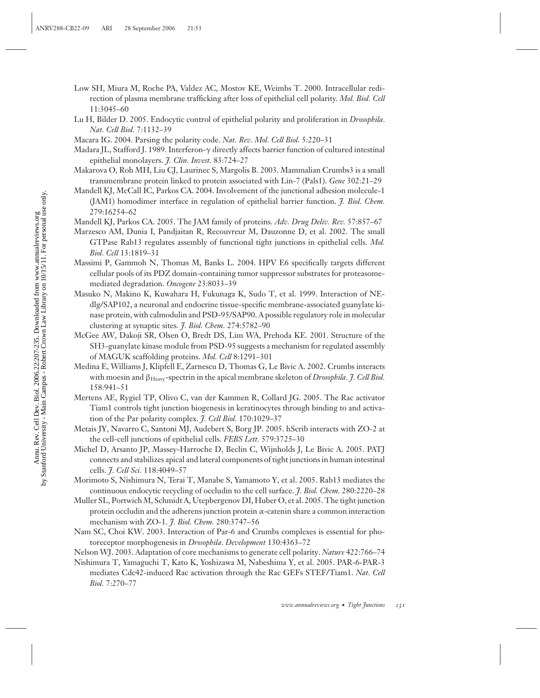- Low SH, Miura M, Roche PA, Valdez AC, Mostov KE, Weimbs T. 2000. Intracellular redirection of plasma membrane trafficking after loss of epithelial cell polarity. *Mol. Biol. Cell* 11:3045–60
- Lu H, Bilder D. 2005. Endocytic control of epithelial polarity and proliferation in *Drosophila*. *Nat. Cell Biol.* 7:1132–39
- Macara IG. 2004. Parsing the polarity code. *Nat. Rev. Mol. Cell Biol.* 5:220–31
- Madara JL, Stafford J. 1989. Interferon-γ directly affects barrier function of cultured intestinal epithelial monolayers. *J. Clin. Invest.* 83:724–27
- Makarova O, Roh MH, Liu CJ, Laurinec S, Margolis B. 2003. Mammalian Crumbs3 is a small transmembrane protein linked to protein associated with Lin-7 (Pals1). *Gene* 302:21–29
- Mandell KJ, McCall IC, Parkos CA. 2004. Involvement of the junctional adhesion molecule-1 (JAM1) homodimer interface in regulation of epithelial barrier function. *J. Biol. Chem.* 279:16254–62
- Mandell KJ, Parkos CA. 2005. The JAM family of proteins. *Adv. Drug Deliv. Rev.* 57:857–67
- Marzesco AM, Dunia I, Pandjaitan R, Recouvreur M, Dauzonne D, et al. 2002. The small GTPase Rab13 regulates assembly of functional tight junctions in epithelial cells. *Mol. Biol. Cell* 13:1819–31
- Massimi P, Gammoh N, Thomas M, Banks L. 2004. HPV E6 specifically targets different cellular pools of its PDZ domain-containing tumor suppressor substrates for proteasomemediated degradation. *Oncogene* 23:8033–39
- Masuko N, Makino K, Kuwahara H, Fukunaga K, Sudo T, et al. 1999. Interaction of NEdlg/SAP102, a neuronal and endocrine tissue-specific membrane-associated guanylate kinase protein, with calmodulin and PSD-95/SAP90. A possible regulatory role in molecular clustering at synaptic sites. *J. Biol. Chem.* 274:5782–90
- McGee AW, Dakoji SR, Olsen O, Bredt DS, Lim WA, Prehoda KE. 2001. Structure of the SH3-guanylate kinase module from PSD-95 suggests a mechanism for regulated assembly of MAGUK scaffolding proteins. *Mol. Cell* 8:1291–301
- Medina E, Williams J, Klipfell E, Zarnescu D, Thomas G, Le Bivic A. 2002. Crumbs interacts with moesin and βHeavy-spectrin in the apical membrane skeleton of *Drosophila*. *J. Cell Biol.* 158:941–51
- Mertens AE, Rygiel TP, Olivo C, van der Kammen R, Collard JG. 2005. The Rac activator Tiam1 controls tight junction biogenesis in keratinocytes through binding to and activation of the Par polarity complex. *J. Cell Biol.* 170:1029–37
- Metais JY, Navarro C, Santoni MJ, Audebert S, Borg JP. 2005. hScrib interacts with ZO-2 at the cell-cell junctions of epithelial cells. *FEBS Lett.* 579:3725–30
- Michel D, Arsanto JP, Massey-Harroche D, Beclin C, Wijnholds J, Le Bivic A. 2005. PATJ connects and stabilizes apical and lateral components of tight junctions in human intestinal cells. *J. Cell Sci.* 118:4049–57
- Morimoto S, Nishimura N, Terai T, Manabe S, Yamamoto Y, et al. 2005. Rab13 mediates the continuous endocytic recycling of occludin to the cell surface. *J. Biol. Chem.* 280:2220–28
- Muller SL, Portwich M, Schmidt A, Utepbergenov DI, Huber O, et al. 2005. The tight junction protein occludin and the adherens junction protein  $\alpha$ -catenin share a common interaction mechanism with ZO-1. *J. Biol. Chem.* 280:3747–56
- Nam SC, Choi KW. 2003. Interaction of Par-6 and Crumbs complexes is essential for photoreceptor morphogenesis in *Drosophila*. *Development* 130:4363–72
- Nelson WJ. 2003. Adaptation of core mechanisms to generate cell polarity. *Nature* 422:766–74
- Nishimura T, Yamaguchi T, Kato K, Yoshizawa M, Nabeshima Y, et al. 2005. PAR-6-PAR-3 mediates Cdc42-induced Rac activation through the Rac GEFs STEF/Tiam1. *Nat. Cell Biol.* 7:270–77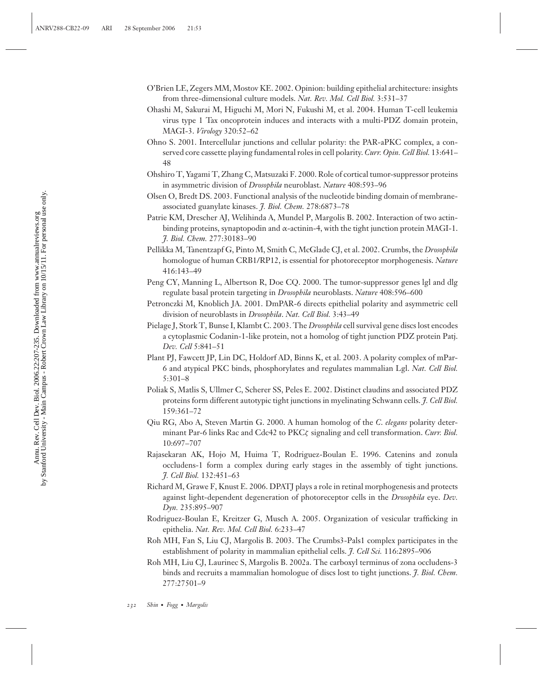- O'Brien LE, Zegers MM, Mostov KE. 2002. Opinion: building epithelial architecture: insights from three-dimensional culture models. *Nat. Rev. Mol. Cell Biol.* 3:531–37
- Ohashi M, Sakurai M, Higuchi M, Mori N, Fukushi M, et al. 2004. Human T-cell leukemia virus type 1 Tax oncoprotein induces and interacts with a multi-PDZ domain protein, MAGI-3. *Virology* 320:52–62
- Ohno S. 2001. Intercellular junctions and cellular polarity: the PAR-aPKC complex, a conserved core cassette playing fundamental roles in cell polarity. *Curr. Opin. Cell Biol.* 13:641– 48
- Ohshiro T, Yagami T, Zhang C, Matsuzaki F. 2000. Role of cortical tumor-suppressor proteins in asymmetric division of *Drosophila* neuroblast. *Nature* 408:593–96
- Olsen O, Bredt DS. 2003. Functional analysis of the nucleotide binding domain of membraneassociated guanylate kinases. *J. Biol. Chem.* 278:6873–78
- Patrie KM, Drescher AJ, Welihinda A, Mundel P, Margolis B. 2002. Interaction of two actinbinding proteins, synaptopodin and  $\alpha$ -actinin-4, with the tight junction protein MAGI-1. *J. Biol. Chem.* 277:30183–90
- Pellikka M, Tanentzapf G, Pinto M, Smith C, McGlade CJ, et al. 2002. Crumbs, the *Drosophila* homologue of human CRB1/RP12, is essential for photoreceptor morphogenesis. *Nature* 416:143–49
- Peng CY, Manning L, Albertson R, Doe CQ. 2000. The tumor-suppressor genes lgl and dlg regulate basal protein targeting in *Drosophila* neuroblasts. *Nature* 408:596–600
- Petronczki M, Knoblich JA. 2001. DmPAR-6 directs epithelial polarity and asymmetric cell division of neuroblasts in *Drosophila*. *Nat. Cell Biol.* 3:43–49
- Pielage J, Stork T, Bunse I, Klambt C. 2003. The *Drosophila* cell survival gene discs lost encodes a cytoplasmic Codanin-1-like protein, not a homolog of tight junction PDZ protein Patj. *Dev. Cell* 5:841–51
- Plant PJ, Fawcett JP, Lin DC, Holdorf AD, Binns K, et al. 2003. A polarity complex of mPar-6 and atypical PKC binds, phosphorylates and regulates mammalian Lgl. *Nat. Cell Biol.* 5:301–8
- Poliak S, Matlis S, Ullmer C, Scherer SS, Peles E. 2002. Distinct claudins and associated PDZ proteins form different autotypic tight junctions in myelinating Schwann cells. *J. Cell Biol.* 159:361–72
- Qiu RG, Abo A, Steven Martin G. 2000. A human homolog of the *C*. *elegans* polarity determinant Par-6 links Rac and Cdc42 to PKCζ signaling and cell transformation. *Curr. Biol.* 10:697–707
- Rajasekaran AK, Hojo M, Huima T, Rodriguez-Boulan E. 1996. Catenins and zonula occludens-1 form a complex during early stages in the assembly of tight junctions. *J. Cell Biol.* 132:451–63
- Richard M, Grawe F, Knust E. 2006. DPATJ plays a role in retinal morphogenesis and protects against light-dependent degeneration of photoreceptor cells in the *Drosophila* eye. *Dev. Dyn.* 235:895–907
- Rodriguez-Boulan E, Kreitzer G, Musch A. 2005. Organization of vesicular trafficking in epithelia. *Nat. Rev. Mol. Cell Biol.* 6:233–47
- Roh MH, Fan S, Liu CJ, Margolis B. 2003. The Crumbs3-Pals1 complex participates in the establishment of polarity in mammalian epithelial cells. *J. Cell Sci.* 116:2895–906
- Roh MH, Liu CJ, Laurinec S, Margolis B. 2002a. The carboxyl terminus of zona occludens-3 binds and recruits a mammalian homologue of discs lost to tight junctions. *J. Biol. Chem.* 277:27501–9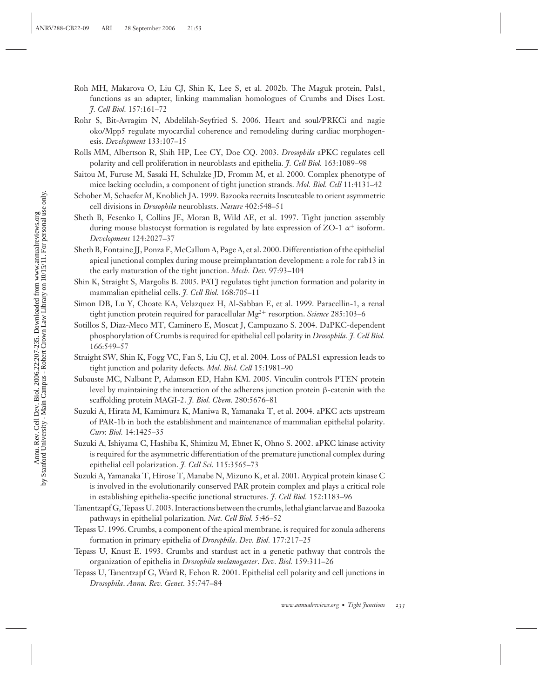- Roh MH, Makarova O, Liu CJ, Shin K, Lee S, et al. 2002b. The Maguk protein, Pals1, functions as an adapter, linking mammalian homologues of Crumbs and Discs Lost. *J. Cell Biol.* 157:161–72
- Rohr S, Bit-Avragim N, Abdelilah-Seyfried S. 2006. Heart and soul/PRKCi and nagie oko/Mpp5 regulate myocardial coherence and remodeling during cardiac morphogenesis. *Development* 133:107–15
- Rolls MM, Albertson R, Shih HP, Lee CY, Doe CQ. 2003. *Drosophila* aPKC regulates cell polarity and cell proliferation in neuroblasts and epithelia. *J. Cell Biol.* 163:1089–98
- Saitou M, Furuse M, Sasaki H, Schulzke JD, Fromm M, et al. 2000. Complex phenotype of mice lacking occludin, a component of tight junction strands. *Mol. Biol. Cell* 11:4131–42
- Schober M, Schaefer M, Knoblich JA. 1999. Bazooka recruits Inscuteable to orient asymmetric cell divisions in *Drosophila* neuroblasts. *Nature* 402:548–51
- Sheth B, Fesenko I, Collins JE, Moran B, Wild AE, et al. 1997. Tight junction assembly during mouse blastocyst formation is regulated by late expression of ZO-1  $\alpha^+$  isoform. *Development* 124:2027–37
- Sheth B, Fontaine JJ, Ponza E, McCallum A, Page A, et al. 2000. Differentiation of the epithelial apical junctional complex during mouse preimplantation development: a role for rab13 in the early maturation of the tight junction. *Mech. Dev.* 97:93–104
- Shin K, Straight S, Margolis B. 2005. PATJ regulates tight junction formation and polarity in mammalian epithelial cells. *J. Cell Biol.* 168:705–11
- Simon DB, Lu Y, Choate KA, Velazquez H, Al-Sabban E, et al. 1999. Paracellin-1, a renal tight junction protein required for paracellular Mg<sup>2</sup><sup>+</sup> resorption. *Science* 285:103–6
- Sotillos S, Diaz-Meco MT, Caminero E, Moscat J, Campuzano S. 2004. DaPKC-dependent phosphorylation of Crumbs is required for epithelial cell polarity in *Drosophila*. *J. Cell Biol.* 166:549–57
- Straight SW, Shin K, Fogg VC, Fan S, Liu CJ, et al. 2004. Loss of PALS1 expression leads to tight junction and polarity defects. *Mol. Biol. Cell* 15:1981–90
- Subauste MC, Nalbant P, Adamson ED, Hahn KM. 2005. Vinculin controls PTEN protein level by maintaining the interaction of the adherens junction protein β-catenin with the scaffolding protein MAGI-2. *J. Biol. Chem.* 280:5676–81
- Suzuki A, Hirata M, Kamimura K, Maniwa R, Yamanaka T, et al. 2004. aPKC acts upstream of PAR-1b in both the establishment and maintenance of mammalian epithelial polarity. *Curr. Biol.* 14:1425–35
- Suzuki A, Ishiyama C, Hashiba K, Shimizu M, Ebnet K, Ohno S. 2002. aPKC kinase activity is required for the asymmetric differentiation of the premature junctional complex during epithelial cell polarization. *J. Cell Sci.* 115:3565–73
- Suzuki A, Yamanaka T, Hirose T, Manabe N, Mizuno K, et al. 2001. Atypical protein kinase C is involved in the evolutionarily conserved PAR protein complex and plays a critical role in establishing epithelia-specific junctional structures. *J. Cell Biol.* 152:1183–96
- Tanentzapf G, Tepass U. 2003. Interactions between the crumbs, lethal giant larvae and Bazooka pathways in epithelial polarization. *Nat. Cell Biol.* 5:46–52
- Tepass U. 1996. Crumbs, a component of the apical membrane, is required for zonula adherens formation in primary epithelia of *Drosophila*. *Dev. Biol.* 177:217–25
- Tepass U, Knust E. 1993. Crumbs and stardust act in a genetic pathway that controls the organization of epithelia in *Drosophila melanogaster*. *Dev. Biol.* 159:311–26
- Tepass U, Tanentzapf G, Ward R, Fehon R. 2001. Epithelial cell polarity and cell junctions in *Drosophila*. *Annu. Rev. Genet.* 35:747–84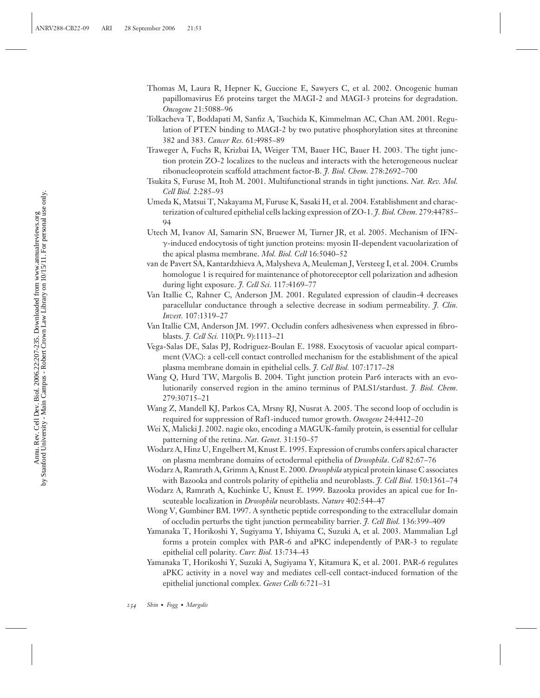- Thomas M, Laura R, Hepner K, Guccione E, Sawyers C, et al. 2002. Oncogenic human papillomavirus E6 proteins target the MAGI-2 and MAGI-3 proteins for degradation. *Oncogene* 21:5088–96
- Tolkacheva T, Boddapati M, Sanfiz A, Tsuchida K, Kimmelman AC, Chan AM. 2001. Regulation of PTEN binding to MAGI-2 by two putative phosphorylation sites at threonine 382 and 383. *Cancer Res.* 61:4985–89
- Traweger A, Fuchs R, Krizbai IA, Weiger TM, Bauer HC, Bauer H. 2003. The tight junction protein ZO-2 localizes to the nucleus and interacts with the heterogeneous nuclear ribonucleoprotein scaffold attachment factor-B. *J. Biol. Chem.* 278:2692–700
- Tsukita S, Furuse M, Itoh M. 2001. Multifunctional strands in tight junctions. *Nat. Rev. Mol. Cell Biol.* 2:285–93
- Umeda K, Matsui T, Nakayama M, Furuse K, Sasaki H, et al. 2004. Establishment and characterization of cultured epithelial cells lacking expression of ZO-1. *J. Biol. Chem.* 279:44785– 94
- Utech M, Ivanov AI, Samarin SN, Bruewer M, Turner JR, et al. 2005. Mechanism of IFNγ-induced endocytosis of tight junction proteins: myosin II-dependent vacuolarization of the apical plasma membrane. *Mol. Biol. Cell* 16:5040–52
- van de Pavert SA, Kantardzhieva A, Malysheva A, Meuleman J, Versteeg I, et al. 2004. Crumbs homologue 1 is required for maintenance of photoreceptor cell polarization and adhesion during light exposure. *J. Cell Sci.* 117:4169–77
- Van Itallie C, Rahner C, Anderson JM. 2001. Regulated expression of claudin-4 decreases paracellular conductance through a selective decrease in sodium permeability. *J. Clin. Invest.* 107:1319–27
- Van Itallie CM, Anderson JM. 1997. Occludin confers adhesiveness when expressed in fibroblasts. *J. Cell Sci.* 110(Pt. 9):1113–21
- Vega-Salas DE, Salas PJ, Rodriguez-Boulan E. 1988. Exocytosis of vacuolar apical compartment (VAC): a cell-cell contact controlled mechanism for the establishment of the apical plasma membrane domain in epithelial cells. *J. Cell Biol.* 107:1717–28
- Wang Q, Hurd TW, Margolis B. 2004. Tight junction protein Par6 interacts with an evolutionarily conserved region in the amino terminus of PALS1/stardust. *J. Biol. Chem.* 279:30715–21
- Wang Z, Mandell KJ, Parkos CA, Mrsny RJ, Nusrat A. 2005. The second loop of occludin is required for suppression of Raf1-induced tumor growth. *Oncogene* 24:4412–20
- Wei X, Malicki J. 2002. nagie oko, encoding a MAGUK-family protein, is essential for cellular patterning of the retina. *Nat. Genet.* 31:150–57
- Wodarz A, Hinz U, Engelbert M, Knust E. 1995. Expression of crumbs confers apical character on plasma membrane domains of ectodermal epithelia of *Drosophila*. *Cell* 82:67–76

Wodarz A, Ramrath A, Grimm A, Knust E. 2000. *Drosophila* atypical protein kinase C associates with Bazooka and controls polarity of epithelia and neuroblasts. *J. Cell Biol.* 150:1361–74

Wodarz A, Ramrath A, Kuchinke U, Knust E. 1999. Bazooka provides an apical cue for Inscuteable localization in *Drosophila* neuroblasts. *Nature* 402:544–47

Wong V, Gumbiner BM. 1997. A synthetic peptide corresponding to the extracellular domain of occludin perturbs the tight junction permeability barrier. *J. Cell Biol.* 136:399–409

- Yamanaka T, Horikoshi Y, Sugiyama Y, Ishiyama C, Suzuki A, et al. 2003. Mammalian Lgl forms a protein complex with PAR-6 and aPKC independently of PAR-3 to regulate epithelial cell polarity. *Curr. Biol.* 13:734–43
- Yamanaka T, Horikoshi Y, Suzuki A, Sugiyama Y, Kitamura K, et al. 2001. PAR-6 regulates aPKC activity in a novel way and mediates cell-cell contact-induced formation of the epithelial junctional complex. *Genes Cells* 6:721–31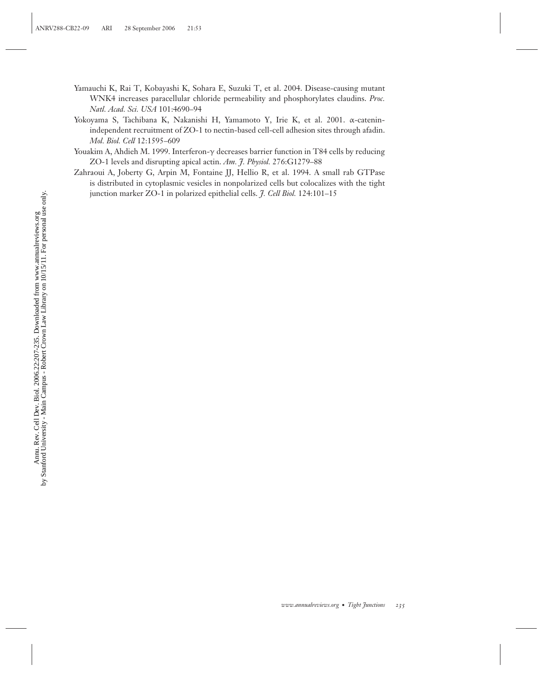- Yamauchi K, Rai T, Kobayashi K, Sohara E, Suzuki T, et al. 2004. Disease-causing mutant WNK4 increases paracellular chloride permeability and phosphorylates claudins. *Proc. Natl. Acad. Sci. USA* 101:4690–94
- Yokoyama S, Tachibana K, Nakanishi H, Yamamoto Y, Irie K, et al. 2001. α-cateninindependent recruitment of ZO-1 to nectin-based cell-cell adhesion sites through afadin. *Mol. Biol. Cell* 12:1595–609
- Youakim A, Ahdieh M. 1999. Interferon-γ decreases barrier function in T84 cells by reducing ZO-1 levels and disrupting apical actin. *Am. J. Physiol.* 276:G1279–88
- Zahraoui A, Joberty G, Arpin M, Fontaine JJ, Hellio R, et al. 1994. A small rab GTPase is distributed in cytoplasmic vesicles in nonpolarized cells but colocalizes with the tight junction marker ZO-1 in polarized epithelial cells. *J. Cell Biol.* 124:101–15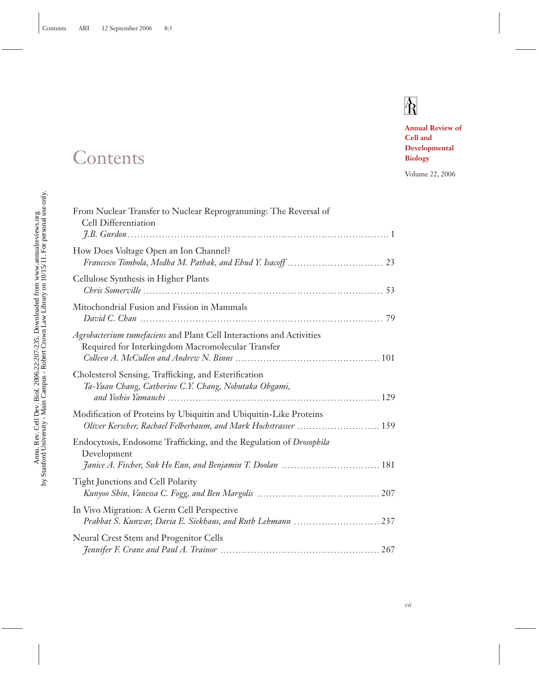# $|\hspace{-1.5pt}|\hspace{-1.5pt}|$

**Annual Review of Cell and Developmental Biology**

## Volume 22, 2006

## From Nuclear Transfer to Nuclear Reprogramming: The Reversal of Cell Differentiation *J.B. Gurdon* **♣♣♣♣♣♣♣♣♣♣♣♣♣♣♣♣♣♣♣♣♣♣♣♣♣♣♣♣♣♣♣♣♣♣♣♣♣♣♣♣♣♣♣♣♣♣♣♣♣♣♣♣♣♣♣♣♣♣♣♣♣♣♣♣♣♣♣♣♣♣♣♣♣♣♣♣♣♣♣♣♣♣♣♣♣** 1 How Does Voltage Open an Ion Channel? *Francesco Tombola, Medha M. Pathak, and Ehud Y. Isacoff* **♣♣♣♣♣♣♣♣♣♣♣♣♣♣♣♣♣♣♣♣♣♣♣♣♣♣♣♣♣♣♣** 23 Cellulose Synthesis in Higher Plants *Chris Somerville* **♣♣♣♣♣♣♣♣♣♣♣♣♣♣♣♣♣♣♣♣♣♣♣♣♣♣♣♣♣♣♣♣♣♣♣♣♣♣♣♣♣♣♣♣♣♣♣♣♣♣♣♣♣♣♣♣♣♣♣♣♣♣♣♣♣♣♣♣♣♣♣♣♣♣♣♣♣♣** 53 Mitochondrial Fusion and Fission in Mammals *David C. Chan* **♣♣♣♣♣♣♣♣♣♣♣♣♣♣♣♣♣♣♣♣♣♣♣♣♣♣♣♣♣♣♣♣♣♣♣♣♣♣♣♣♣♣♣♣♣♣♣♣♣♣♣♣♣♣♣♣♣♣♣♣♣♣♣♣♣♣♣♣♣♣♣♣♣♣♣♣♣♣♣** 79 *Agrobacterium tumefaciens* and Plant Cell Interactions and Activities Required for Interkingdom Macromolecular Transfer *Colleen A. McCullen and Andrew N. Binns* **♣♣♣♣♣♣♣♣♣♣♣♣♣♣♣♣♣♣♣♣♣♣♣♣♣♣♣♣♣♣♣♣♣♣♣♣♣♣♣♣♣♣♣♣♣♣♣** 101 Cholesterol Sensing, Trafficking, and Esterification *Ta-Yuan Chang, Catherine C.Y. Chang, Nobutaka Ohgami, and Yoshio Yamauchi* **♣♣♣♣♣♣♣♣♣♣♣♣♣♣♣♣♣♣♣♣♣♣♣♣♣♣♣♣♣♣♣♣♣♣♣♣♣♣♣♣♣♣♣♣♣♣♣♣♣♣♣♣♣♣♣♣♣♣♣♣♣♣♣♣♣♣♣♣♣** 129 Modification of Proteins by Ubiquitin and Ubiquitin-Like Proteins *Oliver Kerscher, Rachael Felberbaum, and Mark Hochstrasser* **♣♣♣♣♣♣♣♣♣♣♣♣♣♣♣♣♣♣♣♣♣♣♣♣♣♣♣** 159 Endocytosis, Endosome Trafficking, and the Regulation of *Drosophila* Development *Janice A. Fischer, Suk Ho Eun, and Benjamin T. Doolan* **Allows Election 181** Tight Junctions and Cell Polarity *Kunyoo Shin, Vanessa C. Fogg, and Ben Margolis* **♣♣♣♣♣♣♣♣♣♣♣♣♣♣♣♣♣♣♣♣♣♣♣♣♣♣♣♣♣♣♣♣♣♣♣♣♣♣♣♣** 207 In Vivo Migration: A Germ Cell Perspective *Prabhat S. Kunwar, Daria E. Siekhaus, and Ruth Lehmann* **♣♣♣♣♣♣♣♣♣♣♣♣♣♣♣♣♣♣♣♣♣♣♣♣♣♣♣♣** 237 Neural Crest Stem and Progenitor Cells *Jennifer F. Crane and Paul A. Trainor* **♣♣♣♣♣♣♣♣♣♣♣♣♣♣♣♣♣♣♣♣♣♣♣♣♣♣♣♣♣♣♣♣♣♣♣♣♣♣♣♣♣♣♣♣♣♣♣♣♣♣♣♣** 267

**Contents**